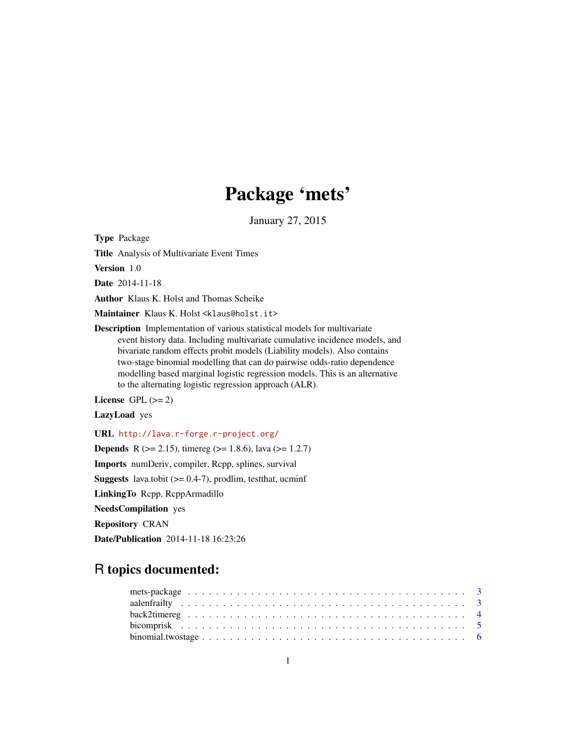# Package 'mets'

January 27, 2015

Type Package

Title Analysis of Multivariate Event Times

Version 1.0

Date 2014-11-18

Author Klaus K. Holst and Thomas Scheike

Maintainer Klaus K. Holst <klaus@holst.it>

Description Implementation of various statistical models for multivariate event history data. Including multivariate cumulative incidence models, and bivariate random effects probit models (Liability models). Also contains two-stage binomial modelling that can do pairwise odds-ratio dependence modelling based marginal logistic regression models. This is an alternative to the alternating logistic regression approach (ALR).

License GPL  $(>= 2)$ 

LazyLoad yes

URL <http://lava.r-forge.r-project.org/>

**Depends** R ( $>= 2.15$ ), timereg ( $>= 1.8.6$ ), lava ( $>= 1.2.7$ )

Imports numDeriv, compiler, Rcpp, splines, survival

**Suggests** lava.tobit  $(>= 0.4-7)$ , prodlim, test that, ucminf

LinkingTo Rcpp, RcppArmadillo

NeedsCompilation yes

Repository CRAN

Date/Publication 2014-11-18 16:23:26

# R topics documented:

| binomial.two stage $\ldots \ldots \ldots \ldots \ldots \ldots \ldots \ldots \ldots \ldots \ldots \ldots \ldots$ |  |
|-----------------------------------------------------------------------------------------------------------------|--|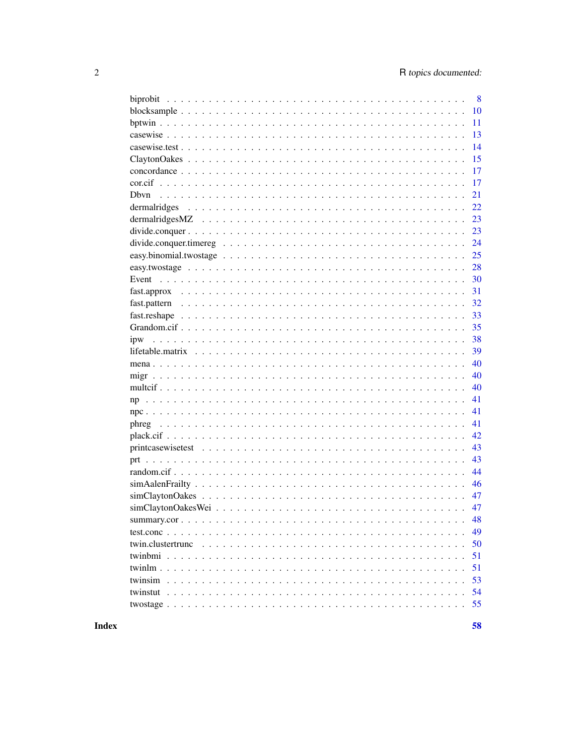|                      | 8  |
|----------------------|----|
|                      | 10 |
|                      | 11 |
|                      | 13 |
|                      | 14 |
|                      | 15 |
|                      | 17 |
|                      | 17 |
|                      | 21 |
|                      | 22 |
|                      | 23 |
|                      | 23 |
|                      | 24 |
|                      | 25 |
|                      | 28 |
|                      | 30 |
|                      | 31 |
|                      | 32 |
|                      | 33 |
|                      | 35 |
|                      | 38 |
|                      | 39 |
|                      | 40 |
|                      | 40 |
|                      | 40 |
|                      | 41 |
|                      | 41 |
|                      | 41 |
|                      | 42 |
|                      | 43 |
|                      | 43 |
|                      | 44 |
|                      | 46 |
|                      | 47 |
| $simClaytonOakesWei$ | 47 |
|                      | 48 |
|                      | 49 |
|                      |    |
| twin.clustertrunc    | 50 |
|                      | 51 |
| twinlm.              | 51 |
| twinsim              | 53 |
| twinstut             | 54 |
|                      | 55 |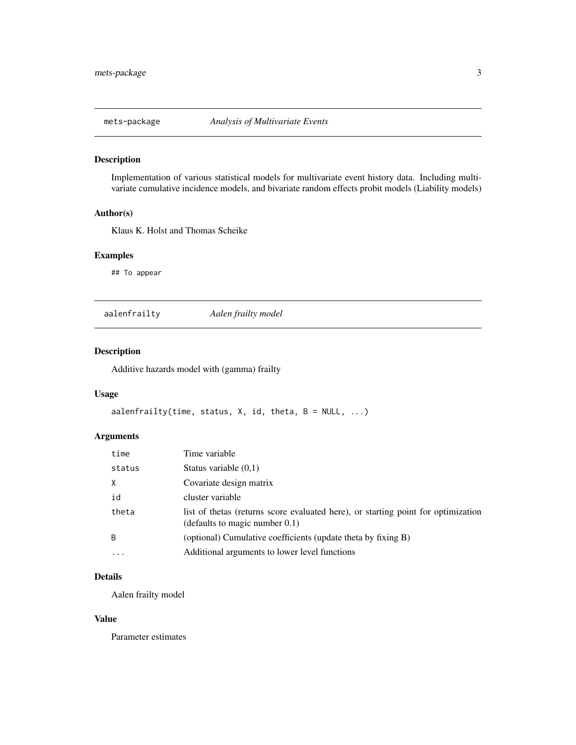<span id="page-2-0"></span>

### Description

Implementation of various statistical models for multivariate event history data. Including multivariate cumulative incidence models, and bivariate random effects probit models (Liability models)

### Author(s)

Klaus K. Holst and Thomas Scheike

#### Examples

## To appear

aalenfrailty *Aalen frailty model*

### Description

Additive hazards model with (gamma) frailty

#### Usage

```
aalenfrailty(time, status, X, id, theta, B = NULL, ...)
```
### Arguments

| time         | Time variable                                                                                                           |
|--------------|-------------------------------------------------------------------------------------------------------------------------|
| status       | Status variable $(0,1)$                                                                                                 |
| $\times$     | Covariate design matrix                                                                                                 |
| id           | cluster variable                                                                                                        |
| theta        | list of the tas (returns score evaluated here), or starting point for optimization<br>(defaults to magic number $0.1$ ) |
| <sup>B</sup> | (optional) Cumulative coefficients (update theta by fixing B)                                                           |
| $\ddotsc$    | Additional arguments to lower level functions                                                                           |

### Details

Aalen frailty model

#### Value

Parameter estimates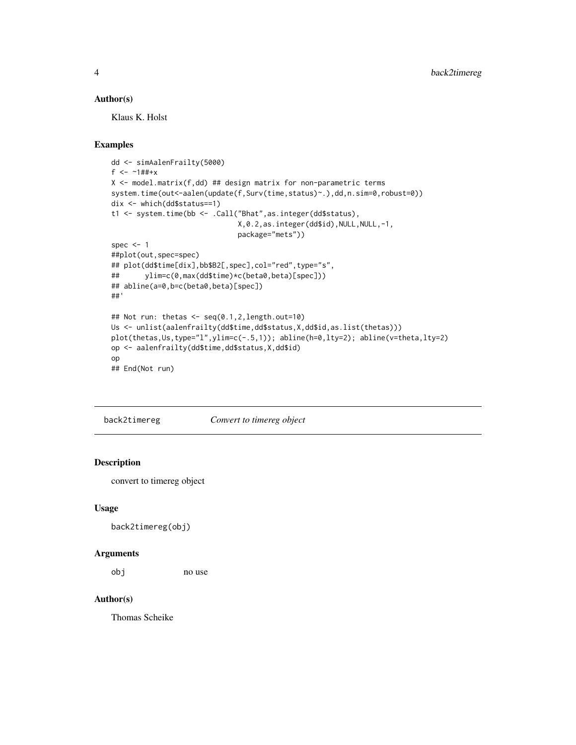### <span id="page-3-0"></span>Author(s)

Klaus K. Holst

### Examples

```
dd <- simAalenFrailty(5000)
f <- -1##+x
X \leq model.matrix(f,dd) ## design matrix for non-parametric terms
system.time(out<-aalen(update(f,Surv(time,status)~.),dd,n.sim=0,robust=0))
dix <- which(dd$status==1)
t1 <- system.time(bb <- .Call("Bhat",as.integer(dd$status),
                              X,0.2,as.integer(dd$id),NULL,NULL,-1,
                              package="mets"))
spec <-1##plot(out,spec=spec)
## plot(dd$time[dix],bb$B2[,spec],col="red",type="s",
## ylim=c(0,max(dd$time)*c(beta0,beta)[spec]))
## abline(a=0,b=c(beta0,beta)[spec])
##'
## Not run: thetas <- seq(0.1,2,length.out=10)
Us <- unlist(aalenfrailty(dd$time,dd$status,X,dd$id,as.list(thetas)))
plot(thetas,Us,type="l",ylim=c(-.5,1)); abline(h=0,lty=2); abline(v=theta,lty=2)
op <- aalenfrailty(dd$time,dd$status,X,dd$id)
op
## End(Not run)
```
back2timereg *Convert to timereg object*

### Description

convert to timereg object

### Usage

back2timereg(obj)

#### Arguments

obj no use

### Author(s)

Thomas Scheike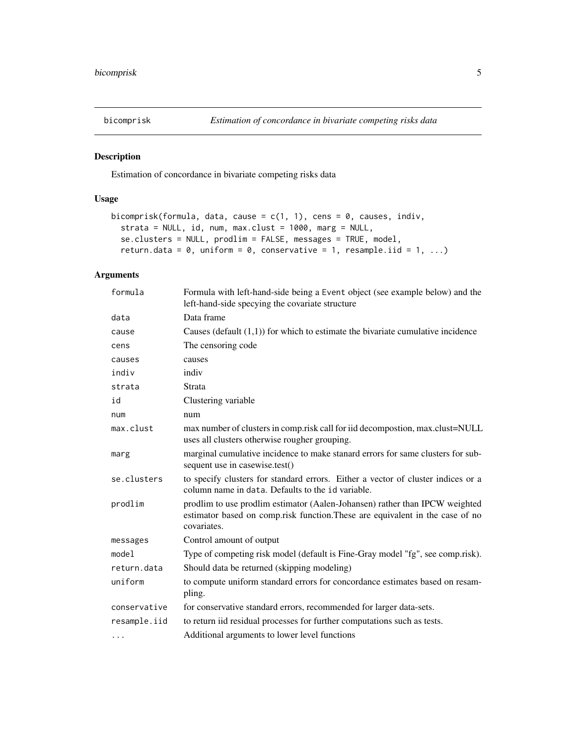<span id="page-4-0"></span>

### Description

Estimation of concordance in bivariate competing risks data

### Usage

```
bicomprisk(formula, data, cause = c(1, 1), cens = 0, causes, indiv,
  strata = NULL, id, num, max.clust = 1000, marg = NULL,
  se.clusters = NULL, prodlim = FALSE, messages = TRUE, model,
 return.data = 0, uniform = 0, conservative = 1, resample.iid = 1, ...)
```

| formula      | Formula with left-hand-side being a Event object (see example below) and the<br>left-hand-side specying the covariate structure                                             |
|--------------|-----------------------------------------------------------------------------------------------------------------------------------------------------------------------------|
| data         | Data frame                                                                                                                                                                  |
| cause        | Causes (default $(1,1)$ ) for which to estimate the bivariate cumulative incidence                                                                                          |
| cens         | The censoring code                                                                                                                                                          |
| causes       | causes                                                                                                                                                                      |
| indiv        | indiv                                                                                                                                                                       |
| strata       | Strata                                                                                                                                                                      |
| id           | Clustering variable                                                                                                                                                         |
| num          | num                                                                                                                                                                         |
| max.clust    | max number of clusters in comp.risk call for iid decompostion, max.clust=NULL<br>uses all clusters otherwise rougher grouping.                                              |
| marg         | marginal cumulative incidence to make stanard errors for same clusters for sub-<br>sequent use in casewise.test()                                                           |
| se.clusters  | to specify clusters for standard errors. Either a vector of cluster indices or a<br>column name in data. Defaults to the id variable.                                       |
| prodlim      | prodlim to use prodlim estimator (Aalen-Johansen) rather than IPCW weighted<br>estimator based on comp.risk function. These are equivalent in the case of no<br>covariates. |
| messages     | Control amount of output                                                                                                                                                    |
| model        | Type of competing risk model (default is Fine-Gray model "fg", see comp.risk).                                                                                              |
| return.data  | Should data be returned (skipping modeling)                                                                                                                                 |
| uniform      | to compute uniform standard errors for concordance estimates based on resam-<br>pling.                                                                                      |
| conservative | for conservative standard errors, recommended for larger data-sets.                                                                                                         |
| resample.iid | to return iid residual processes for further computations such as tests.                                                                                                    |
| $\cdots$     | Additional arguments to lower level functions                                                                                                                               |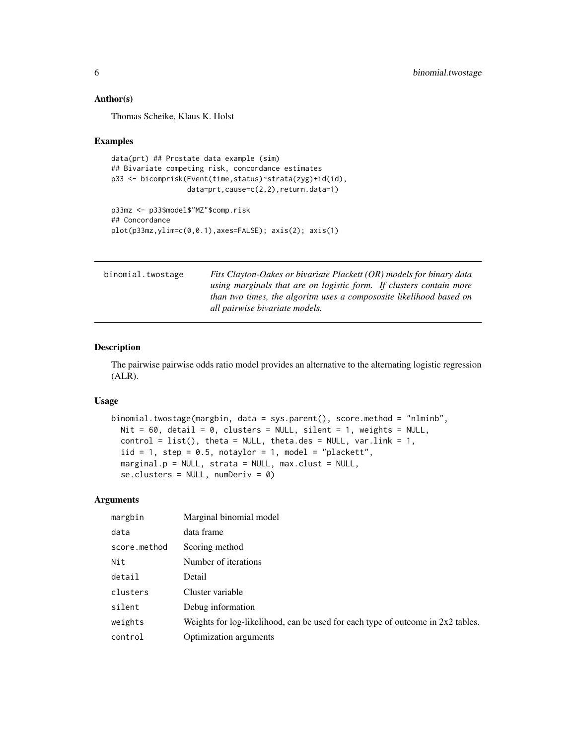#### Author(s)

Thomas Scheike, Klaus K. Holst

#### Examples

```
data(prt) ## Prostate data example (sim)
## Bivariate competing risk, concordance estimates
p33 <- bicomprisk(Event(time,status)~strata(zyg)+id(id),
                  data=prt,cause=c(2,2),return.data=1)
p33mz <- p33$model$"MZ"$comp.risk
## Concordance
```
plot(p33mz,ylim=c(0,0.1),axes=FALSE); axis(2); axis(1)

| binomial.twostage | Fits Clayton-Oakes or bivariate Plackett (OR) models for binary data |  |  |  |  |
|-------------------|----------------------------------------------------------------------|--|--|--|--|
|                   | using marginals that are on logistic form. If clusters contain more  |  |  |  |  |
|                   | than two times, the algoritm uses a compososite likelihood based on  |  |  |  |  |
|                   | all pairwise bivariate models.                                       |  |  |  |  |

### Description

The pairwise pairwise odds ratio model provides an alternative to the alternating logistic regression (ALR).

#### Usage

```
binomial.twostage(margbin, data = sys.parent(), score.method = "nlminb",
 Nit = 60, detail = 0, clusters = NULL, silent = 1, weights = NULL,
 control = list(), theta = NULL, theta = NULL, var.linalg = 1,iid = 1, step = 0.5, notaylor = 1, model = "plackett",
 marginal.p = NULL, strata = NULL, max.class = NULL,
  se.clusters = NULL, numDeriv = 0)
```

| margbin      | Marginal binomial model                                                           |
|--------------|-----------------------------------------------------------------------------------|
| data         | data frame                                                                        |
| score.method | Scoring method                                                                    |
| Nit          | Number of iterations                                                              |
| detail       | Detail                                                                            |
| clusters     | Cluster variable                                                                  |
| silent       | Debug information                                                                 |
| weights      | Weights for log-likelihood, can be used for each type of outcome in $2x2$ tables. |
| control      | Optimization arguments                                                            |

<span id="page-5-0"></span>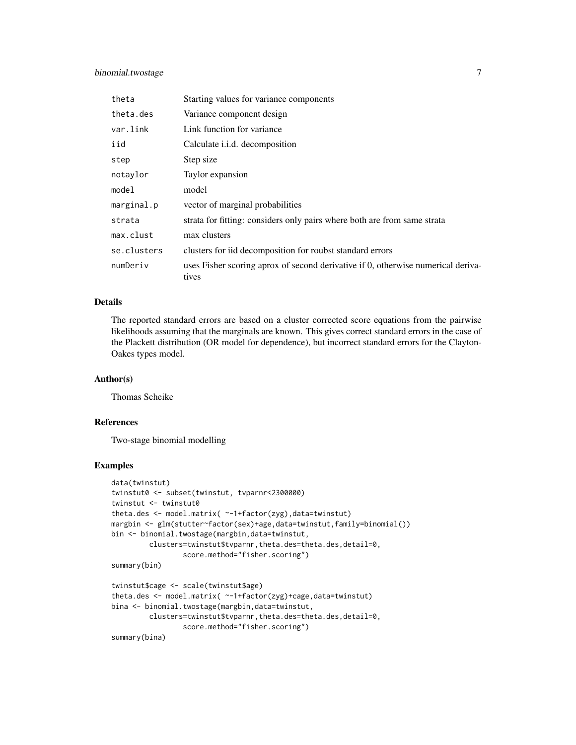### binomial.twostage 7

| theta       | Starting values for variance components                                                   |
|-------------|-------------------------------------------------------------------------------------------|
| theta.des   | Variance component design                                                                 |
| var.link    | Link function for variance                                                                |
| iid         | Calculate <i>i.i.d.</i> decomposition                                                     |
| step        | Step size                                                                                 |
| notaylor    | Taylor expansion                                                                          |
| model       | model                                                                                     |
| marginal.p  | vector of marginal probabilities                                                          |
| strata      | strata for fitting: considers only pairs where both are from same strata                  |
| max.clust   | max clusters                                                                              |
| se.clusters | clusters for iid decomposition for roubst standard errors                                 |
| numDeriv    | uses Fisher scoring aprox of second derivative if 0, otherwise numerical deriva-<br>tives |

#### Details

The reported standard errors are based on a cluster corrected score equations from the pairwise likelihoods assuming that the marginals are known. This gives correct standard errors in the case of the Plackett distribution (OR model for dependence), but incorrect standard errors for the Clayton-Oakes types model.

#### Author(s)

Thomas Scheike

#### References

Two-stage binomial modelling

### Examples

```
data(twinstut)
twinstut0 <- subset(twinstut, tvparnr<2300000)
twinstut <- twinstut0
theta.des <- model.matrix( ~-1+factor(zyg),data=twinstut)
margbin <- glm(stutter~factor(sex)+age,data=twinstut,family=binomial())
bin <- binomial.twostage(margbin,data=twinstut,
        clusters=twinstut$tvparnr,theta.des=theta.des,detail=0,
                 score.method="fisher.scoring")
summary(bin)
twinstut$cage <- scale(twinstut$age)
theta.des <- model.matrix( ~-1+factor(zyg)+cage,data=twinstut)
bina <- binomial.twostage(margbin,data=twinstut,
        clusters=twinstut$tvparnr,theta.des=theta.des,detail=0,
                 score.method="fisher.scoring")
```
summary(bina)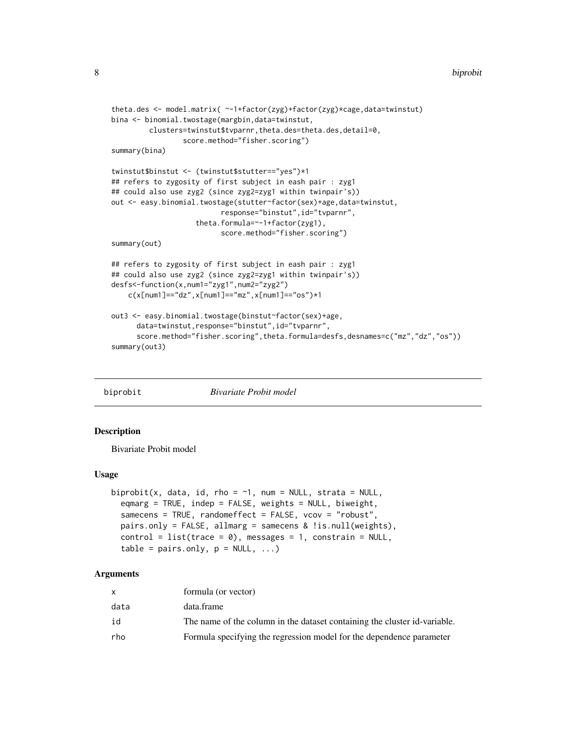```
theta.des <- model.matrix( ~-1+factor(zyg)+factor(zyg)*cage,data=twinstut)
bina <- binomial.twostage(margbin,data=twinstut,
         clusters=twinstut$tvparnr,theta.des=theta.des,detail=0,
                 score.method="fisher.scoring")
summary(bina)
twinstut$binstut <- (twinstut$stutter=="yes")*1
## refers to zygosity of first subject in eash pair : zyg1
## could also use zyg2 (since zyg2=zyg1 within twinpair's))
out <- easy.binomial.twostage(stutter~factor(sex)+age,data=twinstut,
                          response="binstut",id="tvparnr",
                    theta.formula=~-1+factor(zyg1),
                          score.method="fisher.scoring")
summary(out)
## refers to zygosity of first subject in eash pair : zyg1
## could also use zyg2 (since zyg2=zyg1 within twinpair's))
desfs<-function(x,num1="zyg1",num2="zyg2")
    c(x[num1]=="dz",x[num1]=="mz",x[num1]=="os")*1
out3 <- easy.binomial.twostage(binstut~factor(sex)+age,
      data=twinstut, response="binstut", id="tvparnr",
      score.method="fisher.scoring",theta.formula=desfs,desnames=c("mz","dz","os"))
summary(out3)
```
biprobit *Bivariate Probit model*

#### **Description**

Bivariate Probit model

#### Usage

```
biprobit(x, data, id, rho = \sim1, num = NULL, strata = NULL,
  eqmarg = TRUE, indep = FALSE, weights = NULL, biweight,
  samecens = TRUE, randomeffect = FALSE, vcov = "robust",
  pairs.only = FALSE, allmarg = samecens & !is.null(weights),
  control = list(true = 0), messages = 1, constrain = NULL,
  table = pairs-only, p = NULL, ...)
```

|      | formula (or vector)                                                       |
|------|---------------------------------------------------------------------------|
| data | data.frame                                                                |
| id   | The name of the column in the dataset containing the cluster id-variable. |
| rho  | Formula specifying the regression model for the dependence parameter      |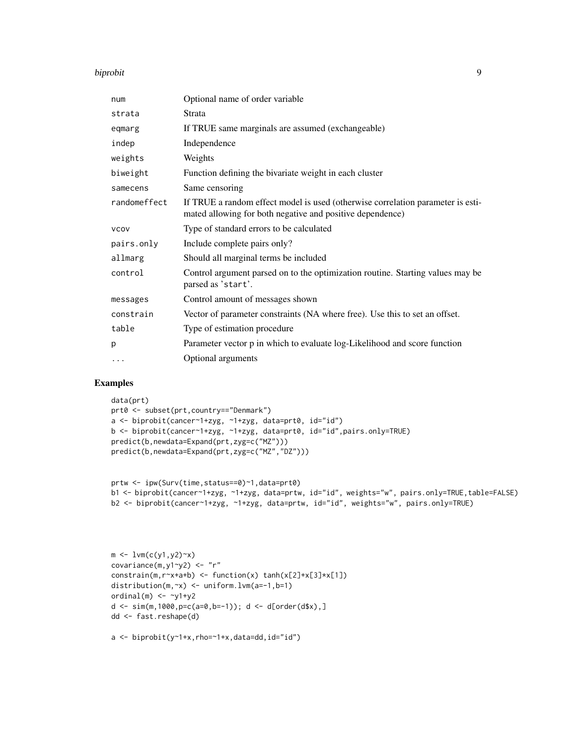#### biprobit 9

| num          | Optional name of order variable                                                                                                              |
|--------------|----------------------------------------------------------------------------------------------------------------------------------------------|
| strata       | Strata                                                                                                                                       |
| eqmarg       | If TRUE same marginals are assumed (exchangeable)                                                                                            |
| indep        | Independence                                                                                                                                 |
| weights      | Weights                                                                                                                                      |
| biweight     | Function defining the bivariate weight in each cluster                                                                                       |
| samecens     | Same censoring                                                                                                                               |
| randomeffect | If TRUE a random effect model is used (otherwise correlation parameter is esti-<br>mated allowing for both negative and positive dependence) |
| <b>VCOV</b>  | Type of standard errors to be calculated                                                                                                     |
| pairs.only   | Include complete pairs only?                                                                                                                 |
| allmarg      | Should all marginal terms be included                                                                                                        |
| control      | Control argument parsed on to the optimization routine. Starting values may be<br>parsed as 'start'.                                         |
| messages     | Control amount of messages shown                                                                                                             |
| constrain    | Vector of parameter constraints (NA where free). Use this to set an offset.                                                                  |
| table        | Type of estimation procedure                                                                                                                 |
| p            | Parameter vector p in which to evaluate log-Likelihood and score function                                                                    |
| $\cdots$     | Optional arguments                                                                                                                           |

### Examples

```
data(prt)
prt0 <- subset(prt,country=="Denmark")
a <- biprobit(cancer~1+zyg, ~1+zyg, data=prt0, id="id")
b <- biprobit(cancer~1+zyg, ~1+zyg, data=prt0, id="id",pairs.only=TRUE)
predict(b,newdata=Expand(prt,zyg=c("MZ")))
predict(b,newdata=Expand(prt,zyg=c("MZ","DZ")))
```

```
prtw <- ipw(Surv(time,status==0)~1,data=prt0)
b1 <- biprobit(cancer~1+zyg, ~1+zyg, data=prtw, id="id", weights="w", pairs.only=TRUE,table=FALSE)
b2 <- biprobit(cancer~1+zyg, ~1+zyg, data=prtw, id="id", weights="w", pairs.only=TRUE)
```

```
m \leftarrow \text{lvm}(c(y1,y2)^{-x})covariance(m,y1~y2) <- "r"
constrain(m,r~x+a+b) <- function(x) tanh(x[2]+x[3]*x[1])
distribution(m,~x) <- uniform.lvm(a=-1,b=1)
ordinal(m) <- \negy1+y2
d \leq \sin(m, 1000, p=c(a=0, b=-1)); d \leq d[order(d $x], ]dd <- fast.reshape(d)
```

```
a \leftarrow biprobit(y~1+x,rho=~1+x,data=dd,id="id")
```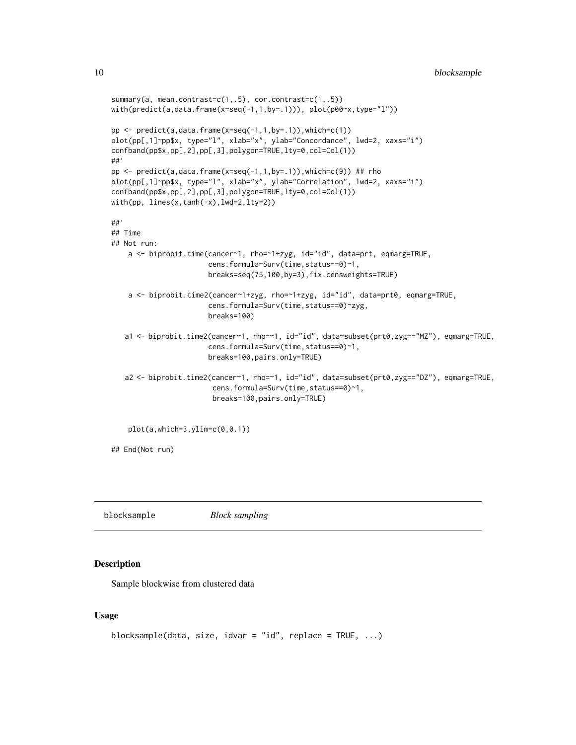```
summary(a, mean.contrast=c(1,.5), cor.contrast=c(1,.5))
with(predict(a,data.frame(x=seq(-1,1,by=.1))), plot(p00~x,type="l"))
pp \leftarrow predict(a, data-frame(x=seq(-1,1,by=.1)), which=c(1))plot(pp[,1]~pp$x, type="l", xlab="x", ylab="Concordance", lwd=2, xaxs="i")
confband(pp$x,pp[,2],pp[,3],polygon=TRUE,lty=0,col=Col(1))
##'
pp <- predict(a,data.frame(x=seq(-1,1,by=.1)),which=c(9)) ## rho
plot(pp[,1]~pp$x, type="l", xlab="x", ylab="Correlation", lwd=2, xaxs="i")
confband(pp$x,pp[,2],pp[,3],polygon=TRUE,lty=0,col=Col(1))
with(pp, lines(x,tanh(-x),lwd=2,lty=2))
##'
## Time
## Not run:
    a <- biprobit.time(cancer~1, rho=~1+zyg, id="id", data=prt, eqmarg=TRUE,
                       cens.formula=Surv(time,status==0)~1,
                       breaks=seq(75,100,by=3),fix.censweights=TRUE)
    a <- biprobit.time2(cancer~1+zyg, rho=~1+zyg, id="id", data=prt0, eqmarg=TRUE,
                       cens.formula=Surv(time,status==0)~zyg,
                       breaks=100)
   a1 <- biprobit.time2(cancer~1, rho=~1, id="id", data=subset(prt0,zyg=="MZ"), eqmarg=TRUE,
                       cens.formula=Surv(time,status==0)~1,
                       breaks=100,pairs.only=TRUE)
   a2 <- biprobit.time2(cancer~1, rho=~1, id="id", data=subset(prt0,zyg=="DZ"), eqmarg=TRUE,
                        cens.formula=Surv(time,status==0)~1,
                        breaks=100,pairs.only=TRUE)
    plot(a,which=3,ylim=c(0,0.1))
## End(Not run)
```
blocksample *Block sampling*

### Description

Sample blockwise from clustered data

#### Usage

```
blocksample(data, size, idvar = "id", replace = TRUE, ...)
```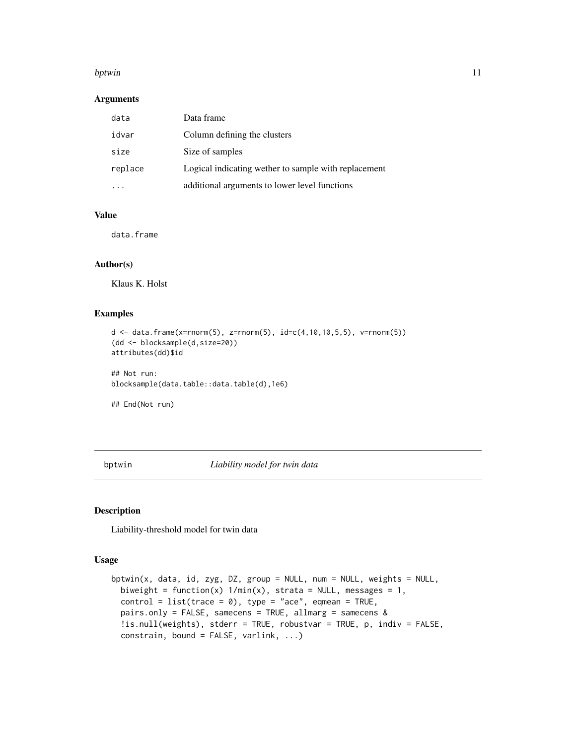#### <span id="page-10-0"></span>bptwin the contract of the contract of the contract of the contract of the contract of the contract of the contract of the contract of the contract of the contract of the contract of the contract of the contract of the con

#### Arguments

| data    | Data frame                                           |
|---------|------------------------------------------------------|
| idvar   | Column defining the clusters                         |
| size    | Size of samples                                      |
| replace | Logical indicating wether to sample with replacement |
|         | additional arguments to lower level functions        |

### Value

data.frame

### Author(s)

Klaus K. Holst

#### Examples

```
d \leq - data.frame(x=rnorm(5), z=rnorm(5), id=c(4,10,10,5,5), v=rnorm(5))
(dd <- blocksample(d,size=20))
attributes(dd)$id
```
## Not run: blocksample(data.table::data.table(d),1e6)

## End(Not run)

<span id="page-10-2"></span>bptwin *Liability model for twin data*

#### <span id="page-10-1"></span>Description

Liability-threshold model for twin data

### Usage

```
bptwin(x, data, id, zyg, DZ, group = NULL, num = NULL, weights = NULL,
 biweight = function(x) 1/min(x), strata = NULL, messages = 1,
  control = list(true = 0), type = "ace", eqmean = TRUE,pairs.only = FALSE, samecens = TRUE, allmarg = samecens &
  !is.null(weights), stderr = TRUE, robustvar = TRUE, p, indiv = FALSE,
  constrain, bound = FALSE, varlink, ...)
```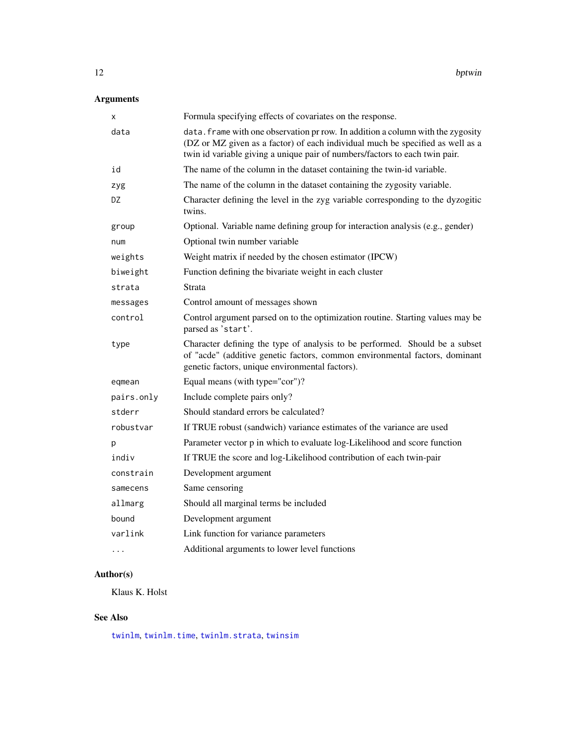# <span id="page-11-0"></span>Arguments

| х          | Formula specifying effects of covariates on the response.                                                                                                                                                                                        |
|------------|--------------------------------------------------------------------------------------------------------------------------------------------------------------------------------------------------------------------------------------------------|
| data       | data. frame with one observation pr row. In addition a column with the zygosity<br>(DZ or MZ given as a factor) of each individual much be specified as well as a<br>twin id variable giving a unique pair of numbers/factors to each twin pair. |
| id         | The name of the column in the dataset containing the twin-id variable.                                                                                                                                                                           |
| zyg        | The name of the column in the dataset containing the zygosity variable.                                                                                                                                                                          |
| DZ         | Character defining the level in the zyg variable corresponding to the dyzogitic<br>twins.                                                                                                                                                        |
| group      | Optional. Variable name defining group for interaction analysis (e.g., gender)                                                                                                                                                                   |
| num        | Optional twin number variable                                                                                                                                                                                                                    |
| weights    | Weight matrix if needed by the chosen estimator (IPCW)                                                                                                                                                                                           |
| biweight   | Function defining the bivariate weight in each cluster                                                                                                                                                                                           |
| strata     | Strata                                                                                                                                                                                                                                           |
| messages   | Control amount of messages shown                                                                                                                                                                                                                 |
| control    | Control argument parsed on to the optimization routine. Starting values may be<br>parsed as 'start'.                                                                                                                                             |
| type       | Character defining the type of analysis to be performed. Should be a subset<br>of "acde" (additive genetic factors, common environmental factors, dominant<br>genetic factors, unique environmental factors).                                    |
| eqmean     | Equal means (with type="cor")?                                                                                                                                                                                                                   |
| pairs.only | Include complete pairs only?                                                                                                                                                                                                                     |
| stderr     | Should standard errors be calculated?                                                                                                                                                                                                            |
| robustvar  | If TRUE robust (sandwich) variance estimates of the variance are used                                                                                                                                                                            |
| р          | Parameter vector p in which to evaluate log-Likelihood and score function                                                                                                                                                                        |
| indiv      | If TRUE the score and log-Likelihood contribution of each twin-pair                                                                                                                                                                              |
| constrain  | Development argument                                                                                                                                                                                                                             |
| samecens   | Same censoring                                                                                                                                                                                                                                   |
| allmarg    | Should all marginal terms be included                                                                                                                                                                                                            |
| bound      | Development argument                                                                                                                                                                                                                             |
| varlink    | Link function for variance parameters                                                                                                                                                                                                            |
| .          | Additional arguments to lower level functions                                                                                                                                                                                                    |

# Author(s)

Klaus K. Holst

# See Also

[twinlm](#page-50-1), [twinlm.time](#page-10-1), [twinlm.strata](#page-50-2), [twinsim](#page-52-1)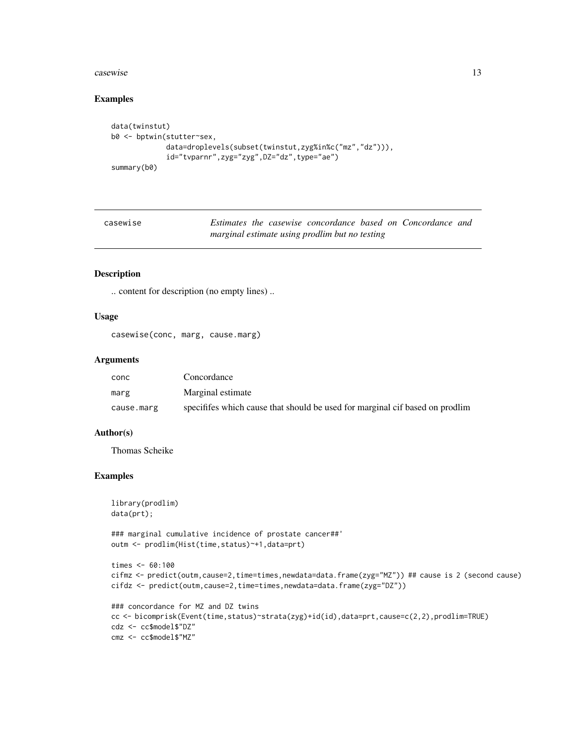#### <span id="page-12-0"></span>casewise 13

#### Examples

```
data(twinstut)
b0 <- bptwin(stutter~sex,
             data=droplevels(subset(twinstut,zyg%in%c("mz","dz"))),
             id="tvparnr",zyg="zyg",DZ="dz",type="ae")
summary(b0)
```

| casewise |  |                                                |  | Estimates the casewise concordance based on Concordance and |  |
|----------|--|------------------------------------------------|--|-------------------------------------------------------------|--|
|          |  | marginal estimate using prodlim but no testing |  |                                                             |  |

### Description

.. content for description (no empty lines) ..

### Usage

casewise(conc, marg, cause.marg)

#### Arguments

| conc       | Concordance                                                                 |
|------------|-----------------------------------------------------------------------------|
| marg       | Marginal estimate                                                           |
| cause.marg | specifies which cause that should be used for marginal cif based on prodlim |

#### Author(s)

Thomas Scheike

### Examples

```
library(prodlim)
data(prt);
```
### marginal cumulative incidence of prostate cancer##' outm <- prodlim(Hist(time,status)~+1,data=prt)

```
times <- 60:100
cifmz <- predict(outm,cause=2,time=times,newdata=data.frame(zyg="MZ")) ## cause is 2 (second cause)
cifdz <- predict(outm,cause=2,time=times,newdata=data.frame(zyg="DZ"))
### concordance for MZ and DZ twins
```

```
cc <- bicomprisk(Event(time,status)~strata(zyg)+id(id),data=prt,cause=c(2,2),prodlim=TRUE)
cdz <- cc$model$"DZ"
cmz <- cc$model$"MZ"
```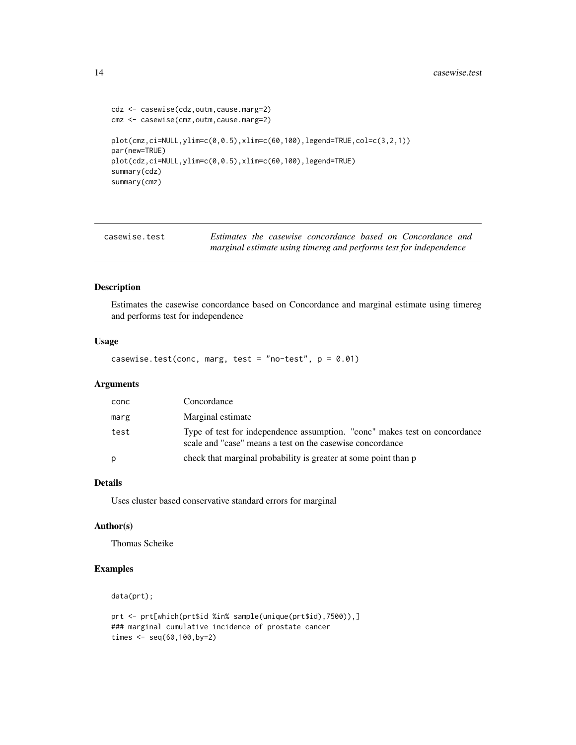```
cdz <- casewise(cdz,outm,cause.marg=2)
cmz <- casewise(cmz,outm,cause.marg=2)
plot(cmz,ci=NULL,ylim=c(0,0.5),xlim=c(60,100),legend=TRUE,col=c(3,2,1))
par(new=TRUE)
plot(cdz,ci=NULL,ylim=c(0,0.5),xlim=c(60,100),legend=TRUE)
summary(cdz)
summary(cmz)
```

| casewise.test | Estimates the casewise concordance based on Concordance and        |
|---------------|--------------------------------------------------------------------|
|               | marginal estimate using timereg and performs test for independence |

### Description

Estimates the casewise concordance based on Concordance and marginal estimate using timereg and performs test for independence

### Usage

casewise.test(conc, marg, test = "no-test",  $p = 0.01$ )

### Arguments

| conc | Concordance                                                                                                                             |
|------|-----------------------------------------------------------------------------------------------------------------------------------------|
| marg | Marginal estimate                                                                                                                       |
| test | Type of test for independence assumption. "conc" makes test on concordance<br>scale and "case" means a test on the casewise concordance |
| D    | check that marginal probability is greater at some point than p                                                                         |
|      |                                                                                                                                         |

### Details

Uses cluster based conservative standard errors for marginal

#### Author(s)

Thomas Scheike

### Examples

```
data(prt);
```

```
prt <- prt[which(prt$id %in% sample(unique(prt$id),7500)),]
### marginal cumulative incidence of prostate cancer
times <- seq(60,100,by=2)
```
<span id="page-13-0"></span>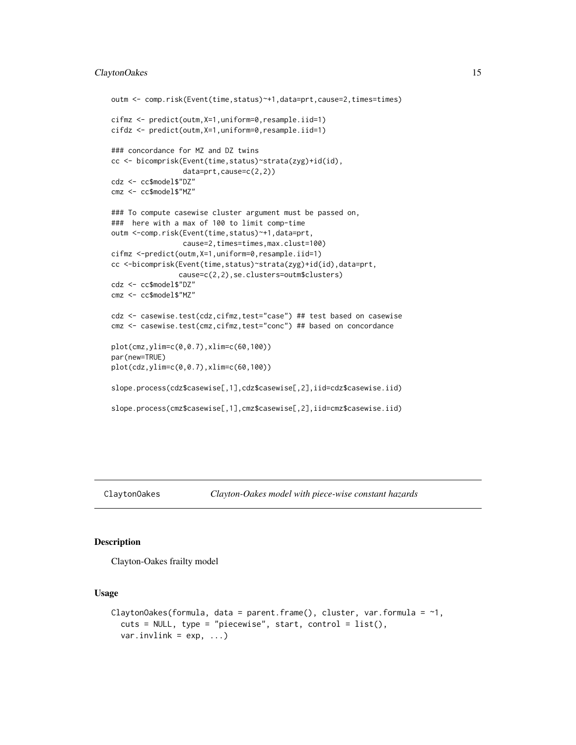### <span id="page-14-0"></span>ClaytonOakes 15

```
outm <- comp.risk(Event(time,status)~+1,data=prt,cause=2,times=times)
cifmz <- predict(outm,X=1,uniform=0,resample.iid=1)
cifdz <- predict(outm,X=1,uniform=0,resample.iid=1)
### concordance for MZ and DZ twins
cc <- bicomprisk(Event(time,status)~strata(zyg)+id(id),
                 data=prt,cause=c(2,2))
cdz <- cc$model$"DZ"
cmz <- cc$model$"MZ"
### To compute casewise cluster argument must be passed on,
### here with a max of 100 to limit comp-time
outm <-comp.risk(Event(time,status)~+1,data=prt,
                 cause=2,times=times,max.clust=100)
cifmz <-predict(outm,X=1,uniform=0,resample.iid=1)
cc <-bicomprisk(Event(time,status)~strata(zyg)+id(id),data=prt,
                cause=c(2,2),se.clusters=outm$clusters)
cdz <- cc$model$"DZ"
cmz <- cc$model$"MZ"
cdz <- casewise.test(cdz,cifmz,test="case") ## test based on casewise
cmz <- casewise.test(cmz,cifmz,test="conc") ## based on concordance
plot(cmz,ylim=c(0,0.7),xlim=c(60,100))
par(new=TRUE)
plot(cdz,ylim=c(0,0.7),xlim=c(60,100))
slope.process(cdz$casewise[,1],cdz$casewise[,2],iid=cdz$casewise.iid)
slope.process(cmz$casewise[,1],cmz$casewise[,2],iid=cmz$casewise.iid)
```
### Description

Clayton-Oakes frailty model

#### Usage

```
ClaytonOakes(formula, data = parent.frame(), cluster, var.formula = \sim1,
  cuts = NULL, type = "piecewise", start, control = list(),
  var.invlink = exp, ...)
```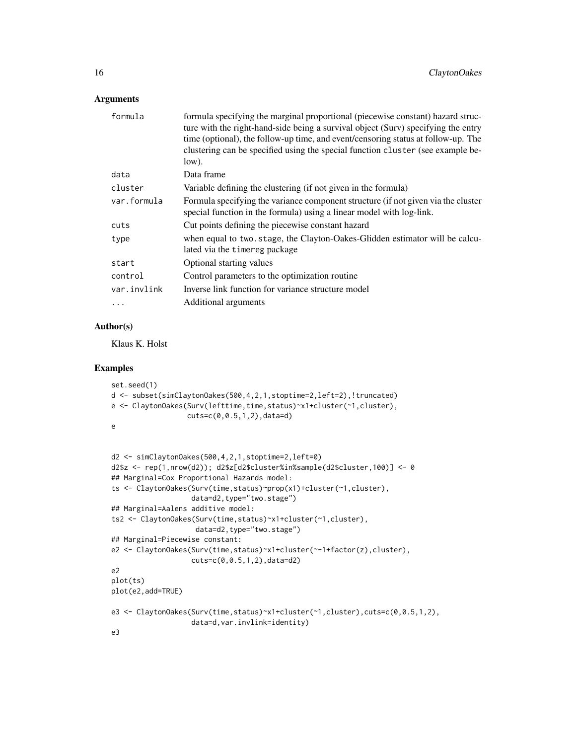#### Arguments

| formula     | formula specifying the marginal proportional (piecewise constant) hazard struc-<br>ture with the right-hand-side being a survival object (Surv) specifying the entry<br>time (optional), the follow-up time, and event/censoring status at follow-up. The<br>clustering can be specified using the special function cluster (see example be-<br>low). |
|-------------|-------------------------------------------------------------------------------------------------------------------------------------------------------------------------------------------------------------------------------------------------------------------------------------------------------------------------------------------------------|
| data        | Data frame                                                                                                                                                                                                                                                                                                                                            |
| cluster     | Variable defining the clustering (if not given in the formula)                                                                                                                                                                                                                                                                                        |
| var.formula | Formula specifying the variance component structure (if not given via the cluster<br>special function in the formula) using a linear model with log-link.                                                                                                                                                                                             |
| cuts        | Cut points defining the piecewise constant hazard                                                                                                                                                                                                                                                                                                     |
| type        | when equal to two.stage, the Clayton-Oakes-Glidden estimator will be calcu-<br>lated via the timereg package                                                                                                                                                                                                                                          |
| start       | Optional starting values                                                                                                                                                                                                                                                                                                                              |
| control     | Control parameters to the optimization routine                                                                                                                                                                                                                                                                                                        |
| var.invlink | Inverse link function for variance structure model                                                                                                                                                                                                                                                                                                    |
|             | Additional arguments                                                                                                                                                                                                                                                                                                                                  |

### Author(s)

Klaus K. Holst

### Examples

```
set.seed(1)
d <- subset(simClaytonOakes(500,4,2,1,stoptime=2,left=2),!truncated)
e <- ClaytonOakes(Surv(lefttime,time,status)~x1+cluster(~1,cluster),
                  cuts=c(0,0.5,1,2),data=d)
e
d2 <- simClaytonOakes(500,4,2,1,stoptime=2,left=0)
d2$z <- rep(1,nrow(d2)); d2$z[d2$cluster%in%sample(d2$cluster,100)] <- 0
## Marginal=Cox Proportional Hazards model:
ts <- ClaytonOakes(Surv(time,status)~prop(x1)+cluster(~1,cluster),
                   data=d2,type="two.stage")
## Marginal=Aalens additive model:
ts2 <- ClaytonOakes(Surv(time,status)~x1+cluster(~1,cluster),
                    data=d2,type="two.stage")
## Marginal=Piecewise constant:
e2 <- ClaytonOakes(Surv(time,status)~x1+cluster(~-1+factor(z),cluster),
                   cuts=c(0,0.5,1,2),data=d2)
```

```
e2
plot(ts)
```
plot(e2,add=TRUE)

```
e3 <- ClaytonOakes(Surv(time,status)~x1+cluster(~1,cluster),cuts=c(0,0.5,1,2),
                  data=d,var.invlink=identity)
e3
```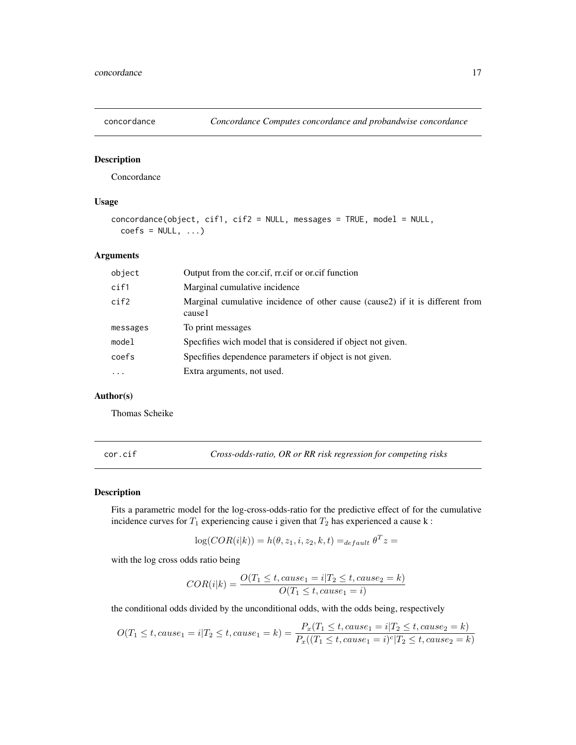<span id="page-16-0"></span>

#### Description

Concordance

### Usage

```
concordance(object, cif1, cif2 = NULL, messages = TRUE, model = NULL,
 coeffs = NULL, ...)
```
### Arguments

| object    | Output from the corier, rright or original function                                     |
|-----------|-----------------------------------------------------------------------------------------|
| cif1      | Marginal cumulative incidence                                                           |
| cif2      | Marginal cumulative incidence of other cause (cause2) if it is different from<br>cause1 |
| messages  | To print messages                                                                       |
| model     | Specfifies wich model that is considered if object not given.                           |
| coefs     | Specfifies dependence parameters if object is not given.                                |
| $\ddotsc$ | Extra arguments, not used.                                                              |

### Author(s)

Thomas Scheike

cor.cif *Cross-odds-ratio, OR or RR risk regression for competing risks*

#### Description

Fits a parametric model for the log-cross-odds-ratio for the predictive effect of for the cumulative incidence curves for  $T_1$  experiencing cause i given that  $T_2$  has experienced a cause k:

$$
\log(COR(i|k)) = h(\theta, z_1, i, z_2, k, t) =_{default} \theta^T z =
$$

with the log cross odds ratio being

$$
COR(i|k) = \frac{O(T_1 \le t, cause_1 = i|T_2 \le t, cause_2 = k)}{O(T_1 \le t, cause_1 = i)}
$$

the conditional odds divided by the unconditional odds, with the odds being, respectively

$$
O(T_1 \le t, cause_1 = i | T_2 \le t, cause_1 = k) = \frac{P_x(T_1 \le t, cause_1 = i | T_2 \le t, cause_2 = k)}{P_x((T_1 \le t, cause_1 = i)^c | T_2 \le t, cause_2 = k)}
$$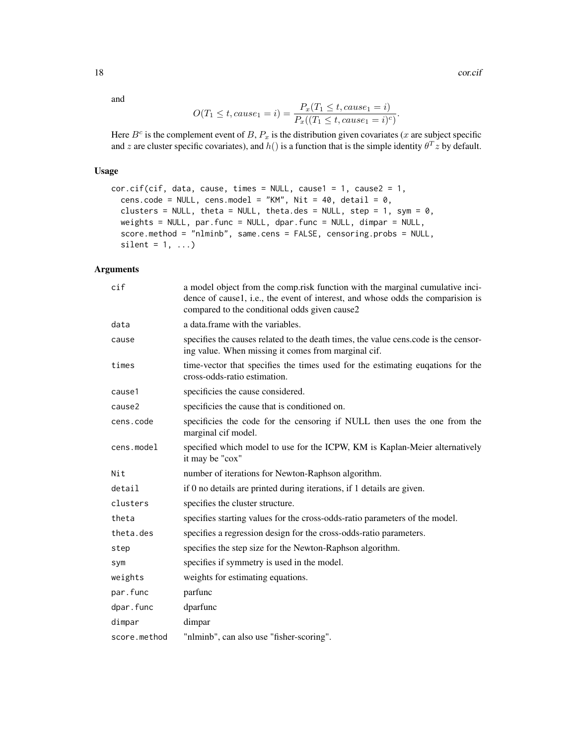18 cor.cif

and

$$
O(T_1 \le t, cause_1 = i) = \frac{P_x(T_1 \le t, cause_1 = i)}{P_x((T_1 \le t, cause_1 = i)^c)}.
$$

Here  $B^c$  is the complement event of B,  $P_x$  is the distribution given covariates (x are subject specific and z are cluster specific covariates), and  $h()$  is a function that is the simple identity  $\theta^T z$  by default.

### Usage

```
cor.cif(cif, data, cause, times = NULL, cause1 = 1, cause2 = 1,cens.code = NULL, cens.model = "KM", Nit = 40, detail = 0,
  clusters = NULL, theta = NULL, theta.des = NULL, step = 1, sym = 0,
 weights = NULL, par.func = NULL, dpar.func = NULL, dimpar = NULL,
  score.method = "nlminb", same.cens = FALSE, censoring.probs = NULL,
  silent = 1, ...)
```

| cif          | a model object from the comp.risk function with the marginal cumulative inci-<br>dence of cause1, i.e., the event of interest, and whose odds the comparision is<br>compared to the conditional odds given cause2 |
|--------------|-------------------------------------------------------------------------------------------------------------------------------------------------------------------------------------------------------------------|
| data         | a data. frame with the variables.                                                                                                                                                                                 |
| cause        | specifies the causes related to the death times, the value cens.code is the censor-<br>ing value. When missing it comes from marginal cif.                                                                        |
| times        | time-vector that specifies the times used for the estimating eugations for the<br>cross-odds-ratio estimation.                                                                                                    |
| cause1       | specificies the cause considered.                                                                                                                                                                                 |
| cause2       | specificies the cause that is conditioned on.                                                                                                                                                                     |
| cens.code    | specificies the code for the censoring if NULL then uses the one from the<br>marginal cif model.                                                                                                                  |
| cens.model   | specified which model to use for the ICPW, KM is Kaplan-Meier alternatively<br>it may be "cox"                                                                                                                    |
| Nit          | number of iterations for Newton-Raphson algorithm.                                                                                                                                                                |
| detail       | if 0 no details are printed during iterations, if 1 details are given.                                                                                                                                            |
| clusters     | specifies the cluster structure.                                                                                                                                                                                  |
| theta        | specifies starting values for the cross-odds-ratio parameters of the model.                                                                                                                                       |
| theta.des    | specifies a regression design for the cross-odds-ratio parameters.                                                                                                                                                |
| step         | specifies the step size for the Newton-Raphson algorithm.                                                                                                                                                         |
| sym          | specifies if symmetry is used in the model.                                                                                                                                                                       |
| weights      | weights for estimating equations.                                                                                                                                                                                 |
| par.func     | parfunc                                                                                                                                                                                                           |
| dpar.func    | dparfunc                                                                                                                                                                                                          |
| dimpar       | dimpar                                                                                                                                                                                                            |
| score.method | "nlminb", can also use "fisher-scoring".                                                                                                                                                                          |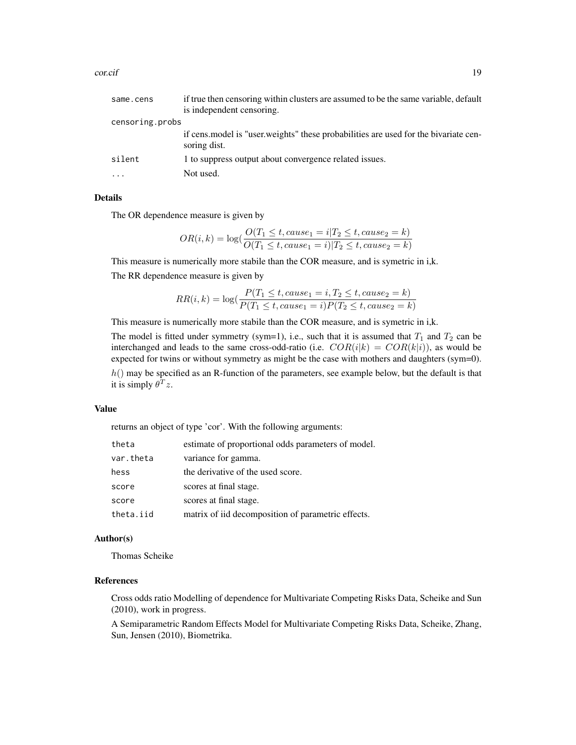| same.cens       | if true then censoring within clusters are assumed to be the same variable, default                   |
|-----------------|-------------------------------------------------------------------------------------------------------|
|                 | is independent censoring.                                                                             |
| censoring.probs |                                                                                                       |
|                 | if cens, model is "user, weights" these probabilities are used for the bivariate cen-<br>soring dist. |
| silent          | 1 to suppress output about convergence related issues.                                                |
| $\cdots$        | Not used.                                                                                             |

#### Details

The OR dependence measure is given by

$$
OR(i,k) = \log(\frac{O(T_1 \leq t, cause_1 = i | T_2 \leq t, cause_2 = k)}{O(T_1 \leq t, cause_1 = i) | T_2 \leq t, cause_2 = k)}
$$

This measure is numerically more stabile than the COR measure, and is symetric in i,k. The RR dependence measure is given by

$$
RR(i,k) = \log(\frac{P(T_1 \le t, cause_1 = i, T_2 \le t, cause_2 = k)}{P(T_1 \le t, cause_1 = i)P(T_2 \le t, cause_2 = k)}
$$

This measure is numerically more stabile than the COR measure, and is symetric in i,k.

The model is fitted under symmetry (sym=1), i.e., such that it is assumed that  $T_1$  and  $T_2$  can be interchanged and leads to the same cross-odd-ratio (i.e.  $COR(i|k) = COR(k|i)$ ), as would be expected for twins or without symmetry as might be the case with mothers and daughters (sym=0).  $h()$  may be specified as an R-function of the parameters, see example below, but the default is that it is simply  $\theta^T z$ .

#### Value

returns an object of type 'cor'. With the following arguments:

| theta     | estimate of proportional odds parameters of model. |
|-----------|----------------------------------------------------|
| var.theta | variance for gamma.                                |
| hess      | the derivative of the used score.                  |
| score     | scores at final stage.                             |
| score     | scores at final stage.                             |
| theta.iid | matrix of iid decomposition of parametric effects. |

#### Author(s)

Thomas Scheike

#### References

Cross odds ratio Modelling of dependence for Multivariate Competing Risks Data, Scheike and Sun (2010), work in progress.

A Semiparametric Random Effects Model for Multivariate Competing Risks Data, Scheike, Zhang, Sun, Jensen (2010), Biometrika.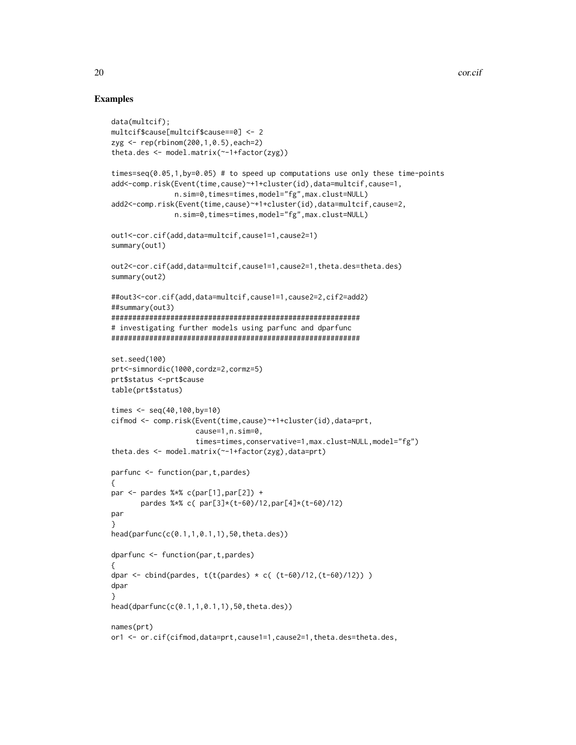### Examples

```
data(multcif);
multcif$cause[multcif$cause==0] <- 2
zyg <- rep(rbinom(200,1,0.5),each=2)
theta.des <- model.matrix(~-1+factor(zyg))
times=seq(0.05,1,by=0.05) # to speed up computations use only these time-points
add<-comp.risk(Event(time,cause)~+1+cluster(id),data=multcif,cause=1,
               n.sim=0,times=times,model="fg",max.clust=NULL)
add2<-comp.risk(Event(time,cause)~+1+cluster(id),data=multcif,cause=2,
               n.sim=0,times=times,model="fg",max.clust=NULL)
out1<-cor.cif(add,data=multcif,cause1=1,cause2=1)
summary(out1)
out2<-cor.cif(add,data=multcif,cause1=1,cause2=1,theta.des=theta.des)
summary(out2)
##out3<-cor.cif(add,data=multcif,cause1=1,cause2=2,cif2=add2)
##summary(out3)
###########################################################
# investigating further models using parfunc and dparfunc
###########################################################
set.seed(100)
prt<-simnordic(1000,cordz=2,cormz=5)
prt$status <-prt$cause
table(prt$status)
times <- seq(40,100,by=10)
cifmod <- comp.risk(Event(time,cause)~+1+cluster(id),data=prt,
                    cause=1,n.sim=0,
                    times=times,conservative=1,max.clust=NULL,model="fg")
theta.des <- model.matrix(~-1+factor(zyg),data=prt)
parfunc <- function(par,t,pardes)
{
par \le pardes %*% c(par[1],par[2]) +
       pardes %*% c( par[3]*(t-60)/12,par[4]*(t-60)/12)
par
}
head(parfunc(c(0.1,1,0.1,1),50,theta.des))
dparfunc <- function(par,t,pardes)
{
dpar <- cbind(pardes, t(t(pardes) * c( (t-60)/12, (t-60)/12)) )dpar
}
head(dparfunc(c(0.1,1,0.1,1),50,theta.des))
names(prt)
or1 <- or.cif(cifmod,data=prt,cause1=1,cause2=1,theta.des=theta.des,
```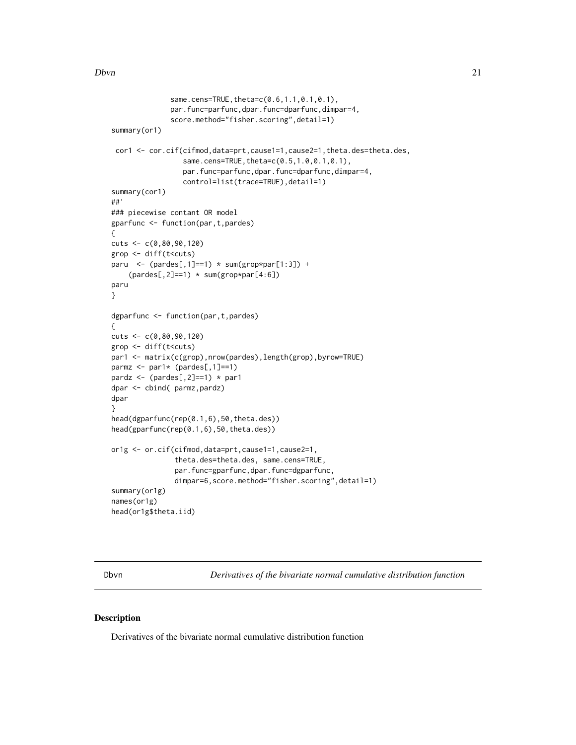```
same.cens=TRUE, theta=c(0.6, 1.1, 0.1, 0.1),
              par.func=parfunc,dpar.func=dparfunc,dimpar=4,
              score.method="fisher.scoring",detail=1)
summary(or1)
 cor1 <- cor.cif(cifmod,data=prt,cause1=1,cause2=1,theta.des=theta.des,
                 same.cens=TRUE, theta=c(0.5, 1.0, 0.1, 0.1),
                 par.func=parfunc,dpar.func=dparfunc,dimpar=4,
                 control=list(trace=TRUE), detail=1)
summary(cor1)
##'
### piecewise contant OR model
gparfunc <- function(par,t,pardes)
{
cuts <- c(0,80,90,120)
grop <- diff(t<cuts)
paru \leq (pardes[,1]==1) \star sum(grop*par[1:3]) +
    (pardes[,2]==1) * sum(grop*par[4:6])
paru
}
dgparfunc <- function(par,t,pardes)
{
cuts <- c(0,80,90,120)
grop <- diff(t<cuts)
par1 <- matrix(c(grop),nrow(pardes),length(grop),byrow=TRUE)
parmz \leq par1* (pardes[,1]==1)
pardz <- (pardes[,2]==1) * par1
dpar <- cbind( parmz,pardz)
dpar
}
head(dgparfunc(rep(0.1,6),50,theta.des))
head(gparfunc(rep(0.1,6),50,theta.des))
or1g <- or.cif(cifmod,data=prt,cause1=1,cause2=1,
               theta.des=theta.des, same.cens=TRUE,
               par.func=gparfunc,dpar.func=dgparfunc,
               dimpar=6,score.method="fisher.scoring",detail=1)
summary(or1g)
names(or1g)
head(or1g$theta.iid)
```
Dbvn *Derivatives of the bivariate normal cumulative distribution function*

#### Description

Derivatives of the bivariate normal cumulative distribution function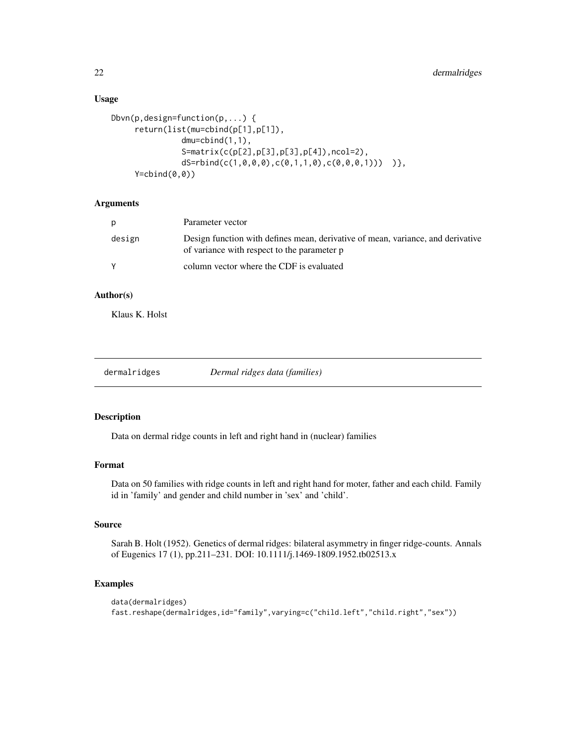### Usage

```
Dbvn(p,design=function(p,...) {
     return(list(mu=cbind(p[1],p[1]),
               dmu=cbind(1,1),
                S=matrix(c(p[2],p[3],p[3],p[4]),ncol=2),
                dS = rbind(c(1, 0, 0, 0), c(0, 1, 1, 0), c(0, 0, 0, 1))))
     Y=cbind(0,0))
```
### **Arguments**

| p      | Parameter vector                                                                                                               |
|--------|--------------------------------------------------------------------------------------------------------------------------------|
| design | Design function with defines mean, derivative of mean, variance, and derivative<br>of variance with respect to the parameter p |
|        | column vector where the CDF is evaluated                                                                                       |

### Author(s)

Klaus K. Holst

| dermalridges |  |
|--------------|--|

Dermal ridges data (families)

#### Description

Data on dermal ridge counts in left and right hand in (nuclear) families

### Format

Data on 50 families with ridge counts in left and right hand for moter, father and each child. Family id in 'family' and gender and child number in 'sex' and 'child'.

### Source

Sarah B. Holt (1952). Genetics of dermal ridges: bilateral asymmetry in finger ridge-counts. Annals of Eugenics 17 (1), pp.211–231. DOI: 10.1111/j.1469-1809.1952.tb02513.x

### Examples

```
data(dermalridges)
fast.reshape(dermalridges,id="family",varying=c("child.left","child.right","sex"))
```
<span id="page-21-0"></span>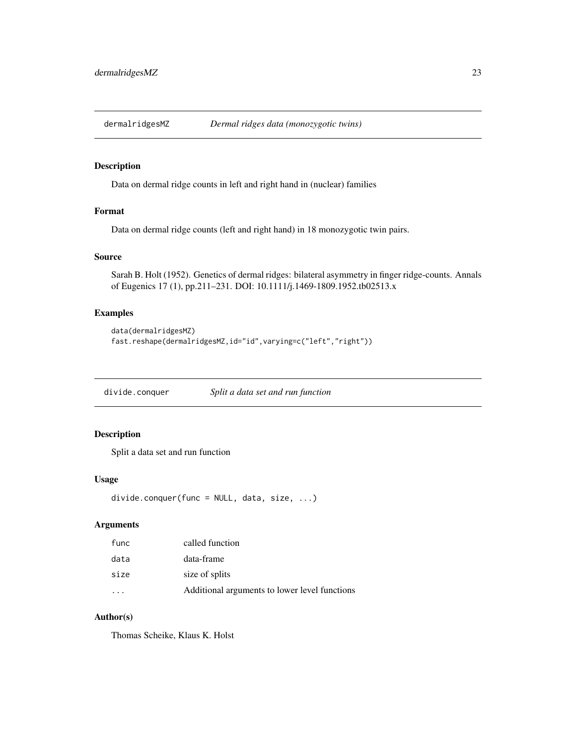<span id="page-22-0"></span>

### Description

Data on dermal ridge counts in left and right hand in (nuclear) families

### Format

Data on dermal ridge counts (left and right hand) in 18 monozygotic twin pairs.

### Source

Sarah B. Holt (1952). Genetics of dermal ridges: bilateral asymmetry in finger ridge-counts. Annals of Eugenics 17 (1), pp.211–231. DOI: 10.1111/j.1469-1809.1952.tb02513.x

#### Examples

```
data(dermalridgesMZ)
fast.reshape(dermalridgesMZ,id="id",varying=c("left","right"))
```
divide.conquer *Split a data set and run function*

### Description

Split a data set and run function

#### Usage

```
divide.conquer(func = NULL, data, size, ...)
```
### Arguments

| func | called function                               |
|------|-----------------------------------------------|
| data | data-frame                                    |
| size | size of splits                                |
|      | Additional arguments to lower level functions |

### Author(s)

Thomas Scheike, Klaus K. Holst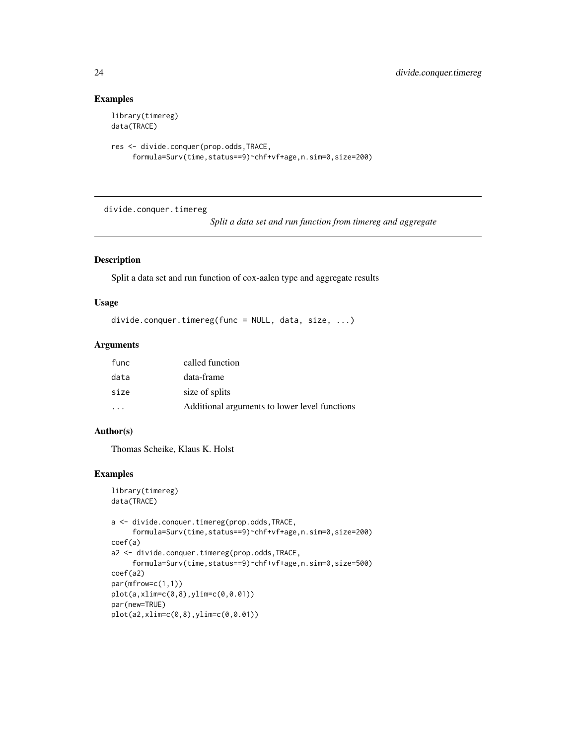### Examples

```
library(timereg)
data(TRACE)
```

```
res <- divide.conquer(prop.odds,TRACE,
     formula=Surv(time,status==9)~chf+vf+age,n.sim=0,size=200)
```
divide.conquer.timereg

*Split a data set and run function from timereg and aggregate*

#### Description

Split a data set and run function of cox-aalen type and aggregate results

#### Usage

```
divide.conquer.timereg(func = NULL, data, size, ...)
```
#### Arguments

| func | called function                               |
|------|-----------------------------------------------|
| data | data-frame                                    |
| size | size of splits                                |
|      | Additional arguments to lower level functions |

#### Author(s)

Thomas Scheike, Klaus K. Holst

#### Examples

```
library(timereg)
data(TRACE)
a <- divide.conquer.timereg(prop.odds,TRACE,
     formula=Surv(time,status==9)~chf+vf+age,n.sim=0,size=200)
coef(a)
a2 <- divide.conquer.timereg(prop.odds,TRACE,
     formula=Surv(time,status==9)~chf+vf+age,n.sim=0,size=500)
coef(a2)
par(mfrow=c(1,1))
plot(a,xlim=c(0,8),ylim=c(0,0.01))
par(new=TRUE)
plot(a2,xlim=c(0,8),ylim=c(0,0.01))
```
<span id="page-23-0"></span>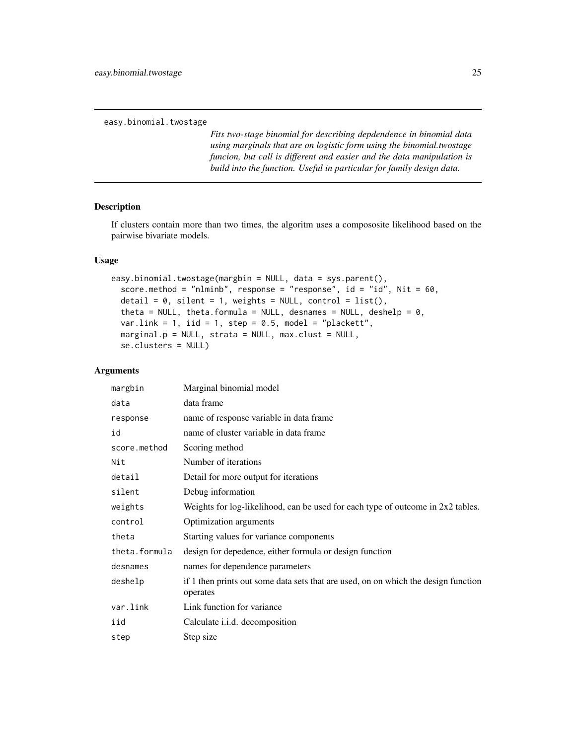<span id="page-24-0"></span>easy.binomial.twostage

*Fits two-stage binomial for describing depdendence in binomial data using marginals that are on logistic form using the binomial.twostage funcion, but call is different and easier and the data manipulation is build into the function. Useful in particular for family design data.*

### Description

If clusters contain more than two times, the algoritm uses a compososite likelihood based on the pairwise bivariate models.

#### Usage

```
easy.binomial.twostage(margbin = NULL, data = sys.parent(),
  score.method = "nlminb", response = "response", id = "id", Nit = 60,detail = 0, silent = 1, weights = NULL, control = list(),
  theta = NULL, theta.formula = NULL, desnames = NULL, deshelp = 0,
  var.link = 1, iid = 1, step = 0.5, model = "plackett",
  marginal.p = NULL, strata = NULL, max.class = NULL,se.clusters = NULL)
```

| margbin       | Marginal binomial model                                                                        |
|---------------|------------------------------------------------------------------------------------------------|
| data          | data frame                                                                                     |
| response      | name of response variable in data frame                                                        |
| id            | name of cluster variable in data frame                                                         |
| score.method  | Scoring method                                                                                 |
| Nit           | Number of iterations                                                                           |
| detail        | Detail for more output for iterations                                                          |
| silent        | Debug information                                                                              |
| weights       | Weights for log-likelihood, can be used for each type of outcome in $2x2$ tables.              |
| control       | Optimization arguments                                                                         |
| theta         | Starting values for variance components                                                        |
| theta.formula | design for depedence, either formula or design function                                        |
| desnames      | names for dependence parameters                                                                |
| deshelp       | if 1 then prints out some data sets that are used, on on which the design function<br>operates |
| var.link      | Link function for variance                                                                     |
| iid           | Calculate <i>i.i.d.</i> decomposition                                                          |
| step          | Step size                                                                                      |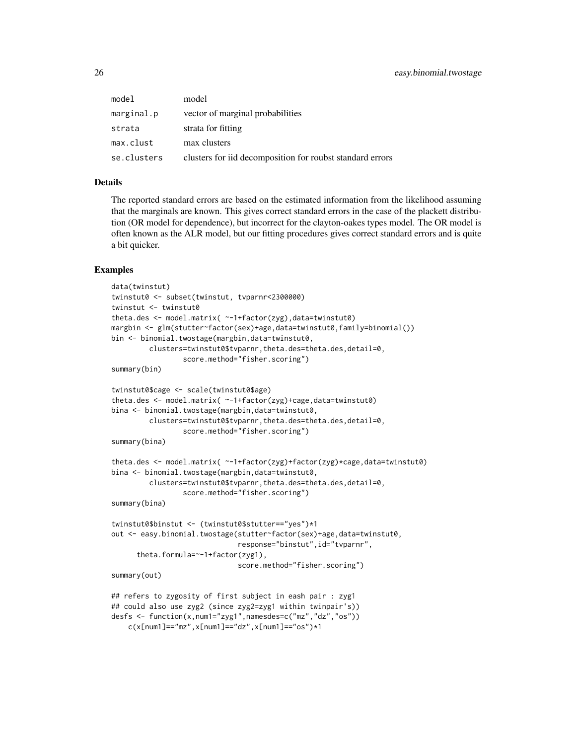| model       | model                                                     |
|-------------|-----------------------------------------------------------|
| marginal.p  | vector of marginal probabilities                          |
| strata      | strata for fitting                                        |
| max.clust   | max clusters                                              |
| se.clusters | clusters for iid decomposition for roubst standard errors |

### Details

The reported standard errors are based on the estimated information from the likelihood assuming that the marginals are known. This gives correct standard errors in the case of the plackett distribution (OR model for dependence), but incorrect for the clayton-oakes types model. The OR model is often known as the ALR model, but our fitting procedures gives correct standard errors and is quite a bit quicker.

#### Examples

```
data(twinstut)
twinstut0 <- subset(twinstut, tvparnr<2300000)
twinstut <- twinstut0
theta.des <- model.matrix( ~-1+factor(zyg),data=twinstut0)
margbin <- glm(stutter~factor(sex)+age,data=twinstut0,family=binomial())
bin <- binomial.twostage(margbin,data=twinstut0,
         clusters=twinstut0$tvparnr,theta.des=theta.des,detail=0,
                 score.method="fisher.scoring")
summary(bin)
twinstut0$cage <- scale(twinstut0$age)
theta.des <- model.matrix( ~-1+factor(zyg)+cage,data=twinstut0)
bina <- binomial.twostage(margbin,data=twinstut0,
         clusters=twinstut0$tvparnr,theta.des=theta.des,detail=0,
                 score.method="fisher.scoring")
summary(bina)
theta.des <- model.matrix( --1+factor(zyg)+factor(zyg)*cage,data=twinstut0)
bina <- binomial.twostage(margbin,data=twinstut0,
         clusters=twinstut0$tvparnr,theta.des=theta.des,detail=0,
                 score.method="fisher.scoring")
summary(bina)
twinstut0$binstut <- (twinstut0$stutter=="yes")*1
out <- easy.binomial.twostage(stutter~factor(sex)+age,data=twinstut0,
                              response="binstut",id="tvparnr",
      theta.formula=~-1+factor(zyg1),
                              score.method="fisher.scoring")
summary(out)
## refers to zygosity of first subject in eash pair : zyg1
## could also use zyg2 (since zyg2=zyg1 within twinpair's))
desfs <- function(x,num1="zyg1",namesdes=c("mz","dz","os"))
   c(x[num1]=="mx", x[num1]=="dz", x[num1]=="os")*1
```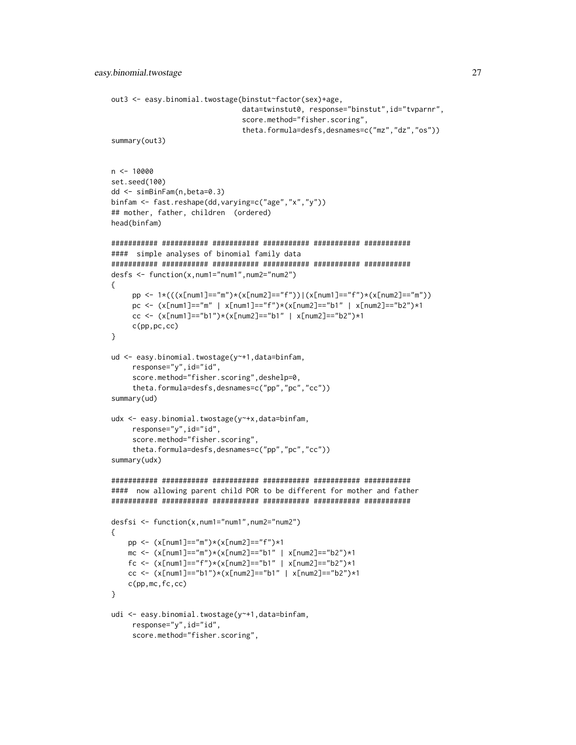```
out3 <- easy.binomial.twostage(binstut~factor(sex)+age,
                               data=twinstut0, response="binstut",id="tvparnr",
                               score.method="fisher.scoring",
                               theta.formula=desfs,desnames=c("mz","dz","os"))
summary(out3)
n <- 10000
set.seed(100)
dd <- simBinFam(n,beta=0.3)
binfam <- fast.reshape(dd,varying=c("age","x","y"))
## mother, father, children (ordered)
head(binfam)
########### ########### ########### ########### ########### ###########
#### simple analyses of binomial family data
########### ########### ########### ########### ########### ###########
desfs <- function(x,num1="num1",num2="num2")
{
     pp <- 1*(((x[num1]=="m")*(x[num2]=="f"))|(x[num1]=="f")*(x[num2]=="m"))
     pc <- (x[num1]=="m" | x[num1]=="f")*(x[num2]=="b1" | x[num2]=="b2")*1
     cc <- (x[num1]=="b1")*(x[num2]=="b1" | x[num2]=="b2")*1c(pp,pc,cc)
}
ud <- easy.binomial.twostage(y~+1,data=binfam,
     response="y", id="id",
     score.method="fisher.scoring",deshelp=0,
     theta.formula=desfs,desnames=c("pp","pc","cc"))
summary(ud)
udx <- easy.binomial.twostage(y~+x,data=binfam,
     response="y", id="id",
     score.method="fisher.scoring",
     theta.formula=desfs,desnames=c("pp","pc","cc"))
summary(udx)
########### ########### ########### ########### ########### ###########
#### now allowing parent child POR to be different for mother and father
########### ########### ########### ########### ########### ###########
desfsi <- function(x,num1="num1",num2="num2")
{
    pp <- (x[num1]=="m")*(x[num2]=="f")*1
   mc <- (x[num1]=="m")*(x[num2]=="b1" | x[num2]=="b2")*1
    fc <- (x[num1]=="f")*(x[num2]=="b1" | x[num2]=="b2")*1cc <- (x[num1]=="b1")*(x[num2]=="b1" | x[num2]=="b2")*1c(pp,mc,fc,cc)
}
udi <- easy.binomial.twostage(y~+1,data=binfam,
     response="y", id="id",
     score.method="fisher.scoring",
```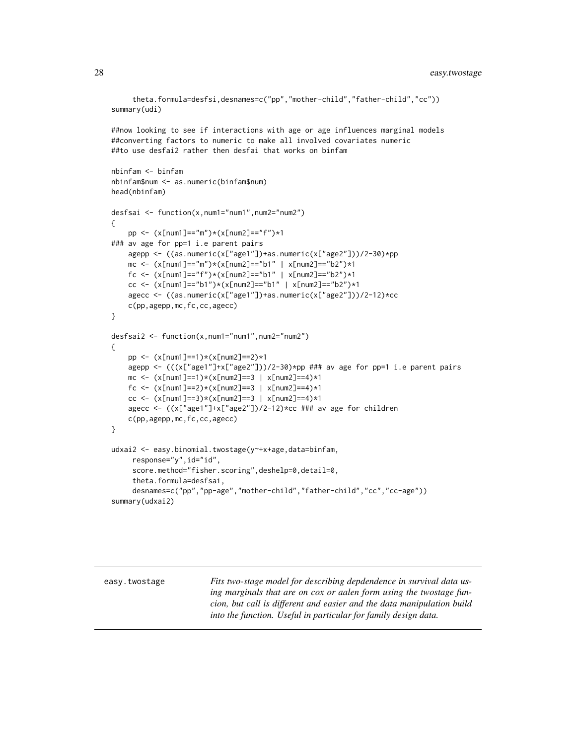```
theta.formula=desfsi,desnames=c("pp","mother-child","father-child","cc"))
summary(udi)
##now looking to see if interactions with age or age influences marginal models
##converting factors to numeric to make all involved covariates numeric
##to use desfai2 rather then desfai that works on binfam
nbinfam <- binfam
nbinfam$num <- as.numeric(binfam$num)
head(nbinfam)
desfsai <- function(x,num1="num1",num2="num2")
{
    pp <- (x[num1]=="m")*(x[num2]=="f")*1
### av age for pp=1 i.e parent pairs
   agepp <- ((as.numeric(x["age1"])+as.numeric(x["age2"]))/2-30)*pp
   mc <- (x[num1]=="m")*(x[num2]=="b1" | x[num2]=="b2")*1
   fc <- (x[num1]=="f")*(x[num2]=="b1" | x[num2]=="b2")*1
   cc <- (x[num1]=="b1")*(x[num2]=="b1" | x[num2]=="b2")*1agecc <- ((as.numeric(x["age1"])+as.numeric(x["age2"]))/2-12)*cc
    c(pp,agepp,mc,fc,cc,agecc)
}
desfsai2 <- function(x,num1="num1",num2="num2")
{
   pp <- (x[num1]==1)*(x[num2]==2)*1
   agepp \leq (((x["age1"]+x["age2"]))/2-30)*pp ### av age for pp=1 i.e parent pairs
   mc <- (x[num1]=1)*(x[num2]=3 | x[num2]=4)*1fc <- (x[num1]=2)*(x[num2]=3 | x[num2]=4)*1cc <- (x[num1]=3)*(x[num2]=3 | x[num2]=4)*1agecc <- ((x["age1"]+x["age2"])/2-12)*cc ### av age for children
   c(pp,agepp,mc,fc,cc,agecc)
}
udxai2 <- easy.binomial.twostage(y~+x+age,data=binfam,
     response="y", id="id",
     score.method="fisher.scoring",deshelp=0,detail=0,
     theta.formula=desfsai,
     desnames=c("pp","pp-age","mother-child","father-child","cc","cc-age"))
```

```
summary(udxai2)
```
easy.twostage *Fits two-stage model for describing depdendence in survival data using marginals that are on cox or aalen form using the twostage funcion, but call is different and easier and the data manipulation build into the function. Useful in particular for family design data.*

<span id="page-27-0"></span>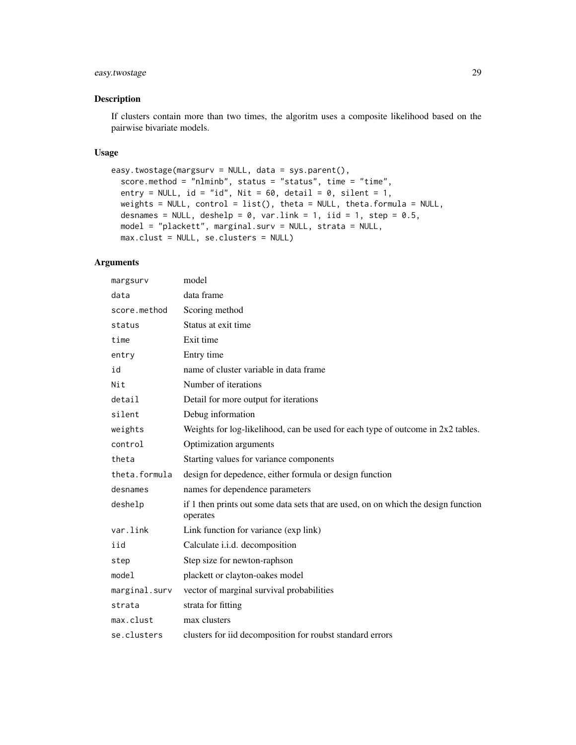### easy.twostage 29

### Description

If clusters contain more than two times, the algoritm uses a composite likelihood based on the pairwise bivariate models.

### Usage

```
easy.twostage(margsurv = NULL, data = sys.parent(),
  score.method = "nlminb", status = "status", time = "time",
 entry = NULL, id = "id", Nit = 60, detail = 0, silent = 1,
 weights = NULL, control = list(), theta = NULL, theta.formula = NULL,
 desnames = NULL, deshelp = 0, var.link = 1, iid = 1, step = 0.5,
 model = "plackett", marginal.surv = NULL, strata = NULL,
 max.clust = NULL, se.clusters = NULL)
```

| margsurv      | model                                                                                          |
|---------------|------------------------------------------------------------------------------------------------|
| data          | data frame                                                                                     |
| score.method  | Scoring method                                                                                 |
| status        | Status at exit time                                                                            |
| time          | Exit time                                                                                      |
| entry         | Entry time                                                                                     |
| id            | name of cluster variable in data frame                                                         |
| Nit           | Number of iterations                                                                           |
| detail        | Detail for more output for iterations                                                          |
| silent        | Debug information                                                                              |
| weights       | Weights for log-likelihood, can be used for each type of outcome in 2x2 tables.                |
| control       | Optimization arguments                                                                         |
| theta         | Starting values for variance components                                                        |
| theta.formula | design for depedence, either formula or design function                                        |
| desnames      | names for dependence parameters                                                                |
| deshelp       | if 1 then prints out some data sets that are used, on on which the design function<br>operates |
| var.link      | Link function for variance (exp link)                                                          |
| iid           | Calculate i.i.d. decomposition                                                                 |
| step          | Step size for newton-raphson                                                                   |
| model         | plackett or clayton-oakes model                                                                |
| marginal.surv | vector of marginal survival probabilities                                                      |
| strata        | strata for fitting                                                                             |
| max.clust     | max clusters                                                                                   |
| se.clusters   | clusters for iid decomposition for roubst standard errors                                      |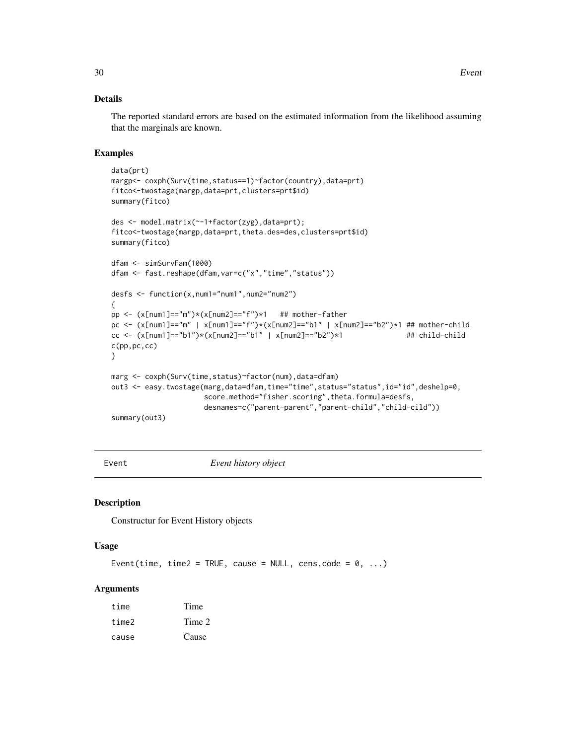### <span id="page-29-0"></span>Details

The reported standard errors are based on the estimated information from the likelihood assuming that the marginals are known.

#### Examples

```
data(prt)
margp<- coxph(Surv(time,status==1)~factor(country),data=prt)
fitco<-twostage(margp,data=prt,clusters=prt$id)
summary(fitco)
des <- model.matrix(~-1+factor(zyg),data=prt);
fitco<-twostage(margp,data=prt,theta.des=des,clusters=prt$id)
summary(fitco)
dfam <- simSurvFam(1000)
dfam <- fast.reshape(dfam,var=c("x","time","status"))
desfs <- function(x,num1="num1",num2="num2")
{
pp <- (x[num1]=="m")*(x[num2]=="f")*1 ## mother-father
pc <- (x[num1]=="m" | x[num1]=="f")*(x[num2]=="b1" | x[num2]=="b2")*1 # # mother-child"cc <- (x[num1]=="b1")*(x[num2]=="b1" | x[num2]=="b2")*1 ## child-child
c(pp,pc,cc)
}
marg <- coxph(Surv(time,status)~factor(num),data=dfam)
out3 <- easy.twostage(marg,data=dfam,time="time",status="status",id="id",deshelp=0,
                      score.method="fisher.scoring",theta.formula=desfs,
                      desnames=c("parent-parent","parent-child","child-cild"))
summary(out3)
```
Event *Event history object*

### Description

Constructur for Event History objects

#### Usage

Event(time, time2 = TRUE, cause = NULL, cens.code =  $0, ...$ )

| time  | Time   |
|-------|--------|
| time2 | Time 2 |
| cause | Cause  |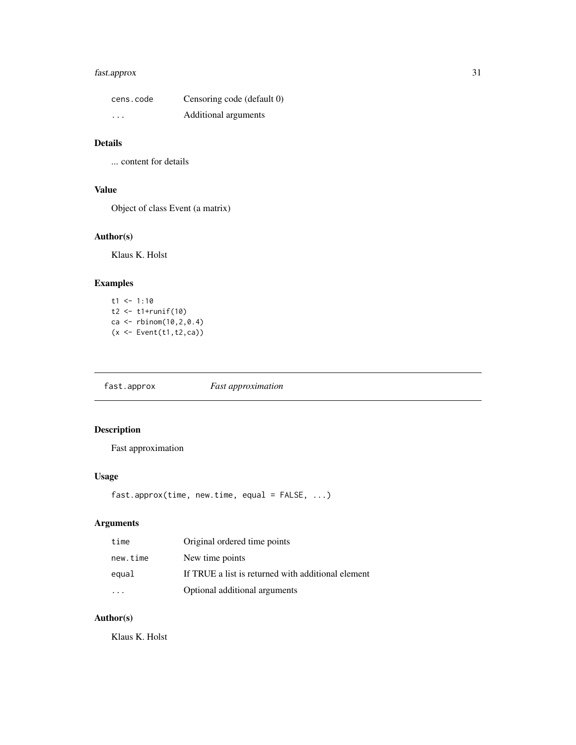### <span id="page-30-0"></span>fast.approx 31

| cens.code | Censoring code (default 0) |
|-----------|----------------------------|
| $\cdot$   | Additional arguments       |

# Details

... content for details

### Value

Object of class Event (a matrix)

### Author(s)

Klaus K. Holst

### Examples

 $t1 < -1:10$  $t2$  <-  $t1+runif(10)$ ca <- rbinom(10,2,0.4)  $(x \leq$  Event $(t1, t2, ca))$ 

fast.approx *Fast approximation*

### Description

Fast approximation

### Usage

```
fast.approx(time, new.time, equal = FALSE, ...)
```
### Arguments

| time     | Original ordered time points                       |
|----------|----------------------------------------------------|
| new.time | New time points                                    |
| equal    | If TRUE a list is returned with additional element |
|          | Optional additional arguments                      |

### Author(s)

Klaus K. Holst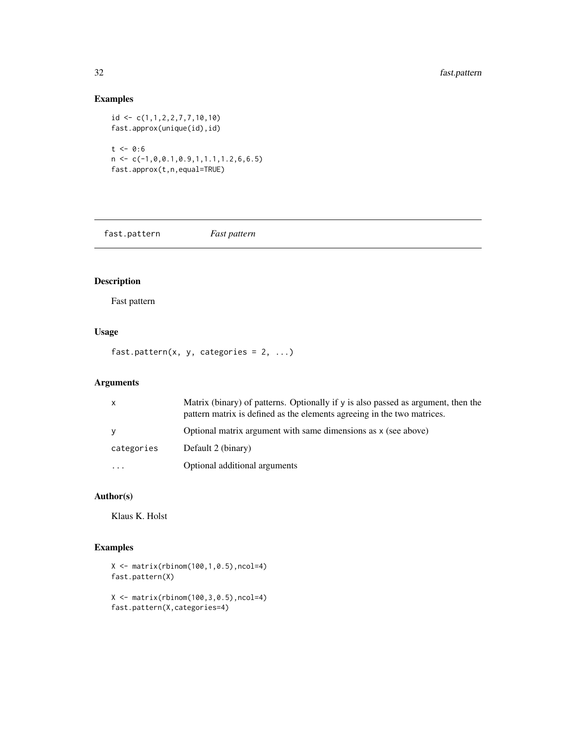### Examples

id <- c(1,1,2,2,7,7,10,10) fast.approx(unique(id),id)  $t < -0.6$  $n \leftarrow c(-1, 0, 0.1, 0.9, 1, 1.1, 1.2, 6, 6.5)$ fast.approx(t,n,equal=TRUE)

fast.pattern *Fast pattern*

### Description

Fast pattern

### Usage

fast.pattern(x, y, categories =  $2, ...$ )

### Arguments

| X          | Matrix (binary) of patterns. Optionally if y is also passed as argument, then the<br>pattern matrix is defined as the elements agreeing in the two matrices. |
|------------|--------------------------------------------------------------------------------------------------------------------------------------------------------------|
| V          | Optional matrix argument with same dimensions as x (see above)                                                                                               |
| categories | Default 2 (binary)                                                                                                                                           |
| $\ddotsc$  | Optional additional arguments                                                                                                                                |

### Author(s)

Klaus K. Holst

### Examples

X <- matrix(rbinom(100,1,0.5),ncol=4) fast.pattern(X)

```
X \leftarrow matrix(rbinom{100, 3, 0.5}, ncol=4)fast.pattern(X,categories=4)
```
<span id="page-31-0"></span>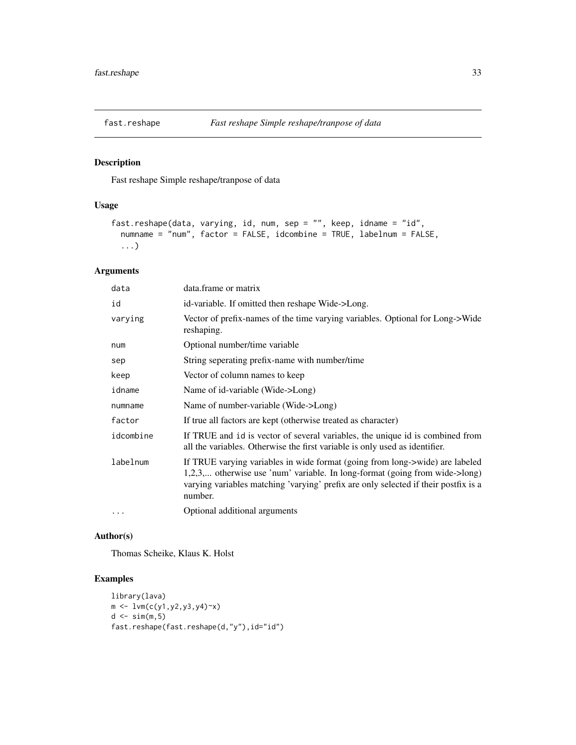<span id="page-32-0"></span>

### Description

Fast reshape Simple reshape/tranpose of data

### Usage

```
fast.reshape(data, varying, id, num, sep = "", keep, idname = "id",
 numname = "num", factor = FALSE, idcombine = TRUE, labelnum = FALSE,
  ...)
```
### Arguments

| data      | data.frame or matrix                                                                                                                                                                                                                                          |
|-----------|---------------------------------------------------------------------------------------------------------------------------------------------------------------------------------------------------------------------------------------------------------------|
| id        | id-variable. If omitted then reshape Wide->Long.                                                                                                                                                                                                              |
| varying   | Vector of prefix-names of the time varying variables. Optional for Long->Wide<br>reshaping.                                                                                                                                                                   |
| num       | Optional number/time variable                                                                                                                                                                                                                                 |
| sep       | String seperating prefix-name with number/time                                                                                                                                                                                                                |
| keep      | Vector of column names to keep                                                                                                                                                                                                                                |
| idname    | Name of id-variable (Wide->Long)                                                                                                                                                                                                                              |
| numname   | Name of number-variable (Wide->Long)                                                                                                                                                                                                                          |
| factor    | If true all factors are kept (otherwise treated as character)                                                                                                                                                                                                 |
| idcombine | If TRUE and id is vector of several variables, the unique id is combined from<br>all the variables. Otherwise the first variable is only used as identifier.                                                                                                  |
| labelnum  | If TRUE varying variables in wide format (going from long->wide) are labeled<br>1,2,3, otherwise use 'num' variable. In long-format (going from wide->long)<br>varying variables matching 'varying' prefix are only selected if their postfix is a<br>number. |
| $\cdots$  | Optional additional arguments                                                                                                                                                                                                                                 |

### Author(s)

Thomas Scheike, Klaus K. Holst

### Examples

```
library(lava)
m \leftarrow \text{lvm}(c(y1, y2, y3, y4) \text{X})d \leftarrow \text{sim}(m, 5)fast.reshape(fast.reshape(d,"y"),id="id")
```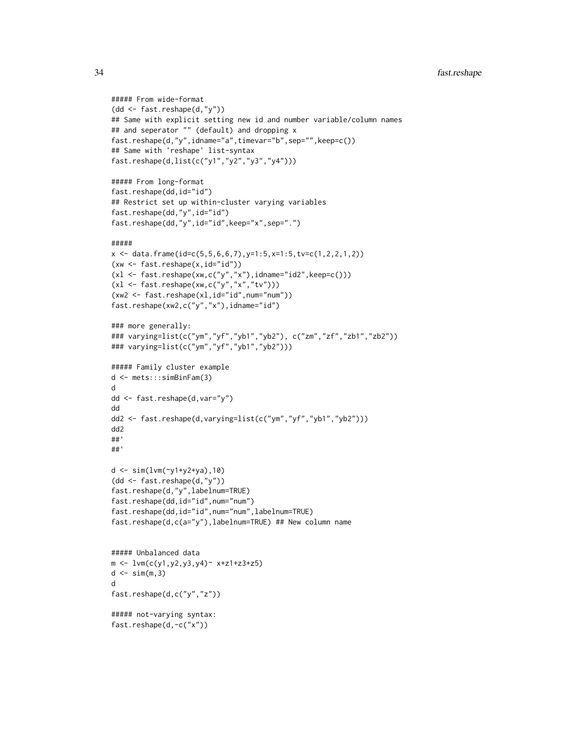```
##### From wide-format
(dd <- fast.reshape(d,"y"))
## Same with explicit setting new id and number variable/column names
## and seperator "" (default) and dropping x
fast.reshape(d,"y",idname="a",timevar="b",sep="",keep=c())
## Same with 'reshape' list-syntax
fast.reshape(d,list(c("y1","y2","y3","y4")))
##### From long-format
fast.reshape(dd,id="id")
## Restrict set up within-cluster varying variables
fast.reshape(dd,"y",id="id")
fast.reshape(dd,"y",id="id",keep="x",sep=".")
#####
x \le - data.frame(id=c(5,5,6,6,7),y=1:5,x=1:5,tv=c(1,2,2,1,2))
(xw <- fast.reshape(x,id="id"))
(x1 \leq fast.reshape(xw,c("y","x"),idname="id2",keep=c()))
(xl <- fast.reshape(xw,c("y","x","tv")))
(xw2 <- fast.reshape(xl,id="id",num="num"))
fast.reshape(xw2,c("y","x"),idname="id")
### more generally:
### varying=list(c("ym","yf","yb1","yb2"), c("zm","zf","zb1","zb2"))
### varying=list(c("ym","yf","yb1","yb2")))
##### Family cluster example
d <- mets:::simBinFam(3)
d
dd <- fast.reshape(d,var="y")
dd
dd2 <- fast.reshape(d,varying=list(c("ym","yf","yb1","yb2")))
dd2
##'
##'
d <- sim(lvm(~y1+y2+ya),10)
(dd <- fast.reshape(d,"y"))
fast.reshape(d,"y",labelnum=TRUE)
fast.reshape(dd,id="id",num="num")
fast.reshape(dd,id="id",num="num",labelnum=TRUE)
fast.reshape(d,c(a="y"),labelnum=TRUE) ## New column name
##### Unbalanced data
m \leq Lvm(c(y1,y2,y3,y4) \approx x+z1+z3+z5)d \leq -\sin(m, 3)d
fast.reshape(d,c("y","z"))
##### not-varying syntax:
```

```
fast.reshape(d,-c("x"))
```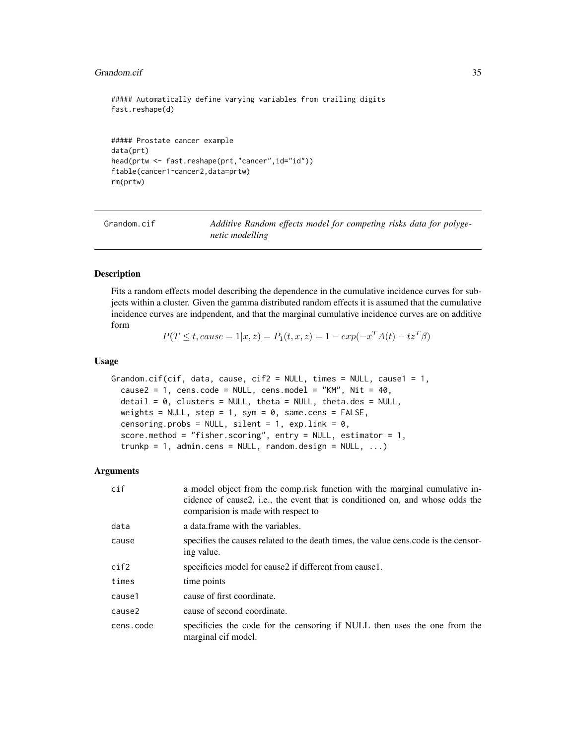#### <span id="page-34-0"></span>Grandom.cif 35

##### Automatically define varying variables from trailing digits fast.reshape(d) ##### Prostate cancer example data(prt) head(prtw <- fast.reshape(prt,"cancer",id="id")) ftable(cancer1~cancer2,data=prtw) rm(prtw)

Grandom.cif *Additive Random effects model for competing risks data for polygenetic modelling*

### Description

Fits a random effects model describing the dependence in the cumulative incidence curves for subjects within a cluster. Given the gamma distributed random effects it is assumed that the cumulative incidence curves are indpendent, and that the marginal cumulative incidence curves are on additive form

$$
P(T \le t, cause = 1|x, z) = P_1(t, x, z) = 1 - exp(-x^T A(t) - tz^T \beta)
$$

#### Usage

```
Grandom.cif(cif, data, cause, cif2 = NULL, times = NULL, cause1 = 1,
  cause2 = 1, cens.code = NULL, cens.model = "KM", Nit = 40,
  \text{detail} = 0, clusters = NULL, theta = NULL, theta.des = NULL,
  weights = NULL, step = 1, sym = 0, same.cens = FALSE,
  censoring.probs = NULL, silent = 1, expuink = 0,
  score.method = "fisher.scoring", entry = NULL, estimator = 1,
  trunkp = 1, admin.cens = NULL, random.design = NULL, ...)
```

| cif       | a model object from the comp.risk function with the marginal cumulative in-<br>cidence of cause2, i.e., the event that is conditioned on, and whose odds the<br>comparision is made with respect to |
|-----------|-----------------------------------------------------------------------------------------------------------------------------------------------------------------------------------------------------|
| data      | a data frame with the variables.                                                                                                                                                                    |
| cause     | specifies the causes related to the death times, the value cens.code is the censor-<br>ing value.                                                                                                   |
| cif2      | specificies model for cause2 if different from cause1.                                                                                                                                              |
| times     | time points                                                                                                                                                                                         |
| cause1    | cause of first coordinate.                                                                                                                                                                          |
| cause2    | cause of second coordinate.                                                                                                                                                                         |
| cens.code | specificies the code for the censoring if NULL then uses the one from the<br>marginal cif model.                                                                                                    |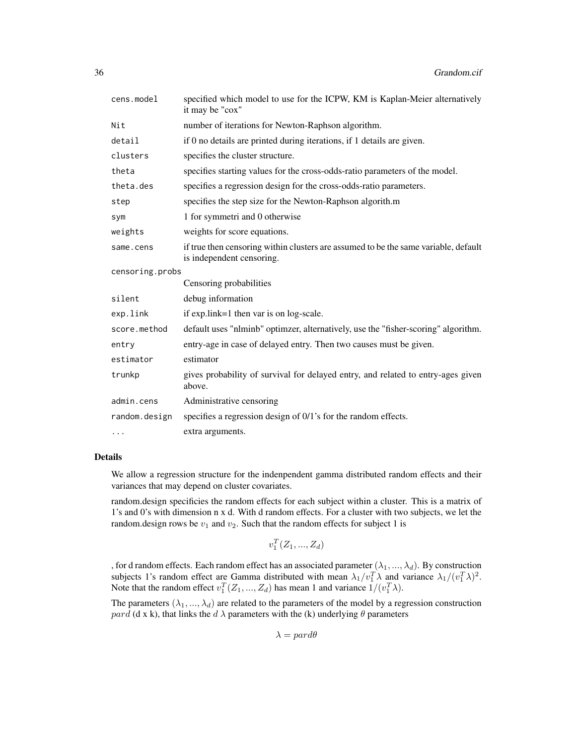| cens.model      | specified which model to use for the ICPW, KM is Kaplan-Meier alternatively<br>it may be "cox"                   |
|-----------------|------------------------------------------------------------------------------------------------------------------|
| Nit             | number of iterations for Newton-Raphson algorithm.                                                               |
| detail          | if 0 no details are printed during iterations, if 1 details are given.                                           |
| clusters        | specifies the cluster structure.                                                                                 |
| theta           | specifies starting values for the cross-odds-ratio parameters of the model.                                      |
| theta.des       | specifies a regression design for the cross-odds-ratio parameters.                                               |
| step            | specifies the step size for the Newton-Raphson algorith.m                                                        |
| sym             | 1 for symmetri and 0 otherwise                                                                                   |
| weights         | weights for score equations.                                                                                     |
| same.cens       | if true then censoring within clusters are assumed to be the same variable, default<br>is independent censoring. |
| censoring.probs |                                                                                                                  |
|                 | Censoring probabilities                                                                                          |
| silent          | debug information                                                                                                |
| exp.link        | if exp.link=1 then var is on log-scale.                                                                          |
| score.method    | default uses "nlminb" optimzer, alternatively, use the "fisher-scoring" algorithm.                               |
| entry           | entry-age in case of delayed entry. Then two causes must be given.                                               |
| estimator       | estimator                                                                                                        |
| trunkp          | gives probability of survival for delayed entry, and related to entry-ages given<br>above.                       |
| admin.cens      | Administrative censoring                                                                                         |
| random.design   | specifies a regression design of 0/1's for the random effects.                                                   |
| $\cdots$        | extra arguments.                                                                                                 |

#### Details

We allow a regression structure for the indenpendent gamma distributed random effects and their variances that may depend on cluster covariates.

random.design specificies the random effects for each subject within a cluster. This is a matrix of 1's and 0's with dimension n x d. With d random effects. For a cluster with two subjects, we let the random. design rows be  $v_1$  and  $v_2$ . Such that the random effects for subject 1 is

 $v_1^T(Z_1, ..., Z_d)$ 

, for d random effects. Each random effect has an associated parameter  $(\lambda_1, ..., \lambda_d)$ . By construction subjects 1's random effect are Gamma distributed with mean  $\lambda_1/v_1^T \lambda$  and variance  $\lambda_1/(v_1^T \lambda)^2$ . Note that the random effect  $v_1^T(Z_1, ..., Z_d)$  has mean 1 and variance  $1/(v_1^T \lambda)$ .

The parameters  $(\lambda_1, ..., \lambda_d)$  are related to the parameters of the model by a regression construction pard (d x k), that links the  $d \lambda$  parameters with the (k) underlying  $\theta$  parameters

 $\lambda =$  pard $\theta$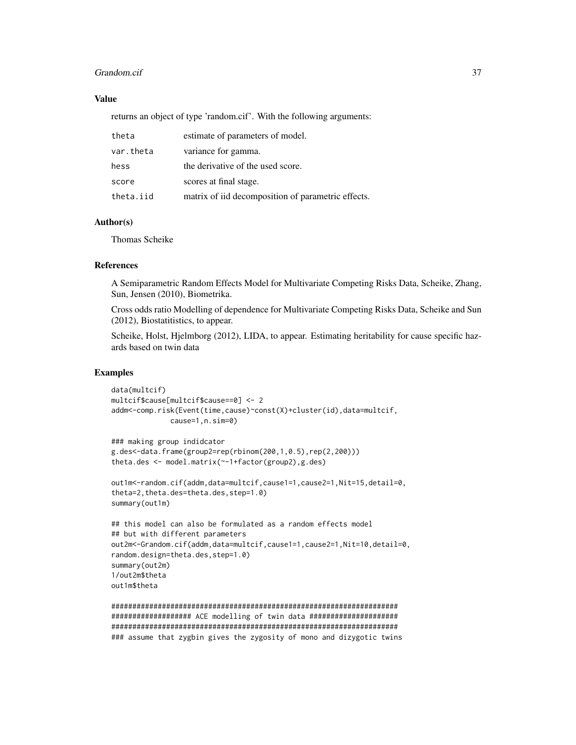#### Grandom.cif 37

### Value

returns an object of type 'random.cif'. With the following arguments:

| theta     | estimate of parameters of model.                   |
|-----------|----------------------------------------------------|
| var.theta | variance for gamma.                                |
| hess      | the derivative of the used score.                  |
| score     | scores at final stage.                             |
| theta.iid | matrix of iid decomposition of parametric effects. |

### Author(s)

Thomas Scheike

#### References

A Semiparametric Random Effects Model for Multivariate Competing Risks Data, Scheike, Zhang, Sun, Jensen (2010), Biometrika.

Cross odds ratio Modelling of dependence for Multivariate Competing Risks Data, Scheike and Sun (2012), Biostatitistics, to appear.

Scheike, Holst, Hjelmborg (2012), LIDA, to appear. Estimating heritability for cause specific hazards based on twin data

### Examples

```
data(multcif)
multcif$cause[multcif$cause==0] <- 2
addm<-comp.risk(Event(time,cause)~const(X)+cluster(id),data=multcif,
              cause=1,n.sim=0)
### making group indidcator
g.des<-data.frame(group2=rep(rbinom(200,1,0.5),rep(2,200)))
theta.des <- model.matrix(~-1+factor(group2),g.des)
out1m<-random.cif(addm,data=multcif,cause1=1,cause2=1,Nit=15,detail=0,
theta=2,theta.des=theta.des,step=1.0)
summary(out1m)
## this model can also be formulated as a random effects model
## but with different parameters
out2m<-Grandom.cif(addm,data=multcif,cause1=1,cause2=1,Nit=10,detail=0,
random.design=theta.des,step=1.0)
summary(out2m)
1/out2m$theta
out1m$theta
```
#################################################################### ################### ACE modelling of twin data ##################### #################################################################### ### assume that zygbin gives the zygosity of mono and dizygotic twins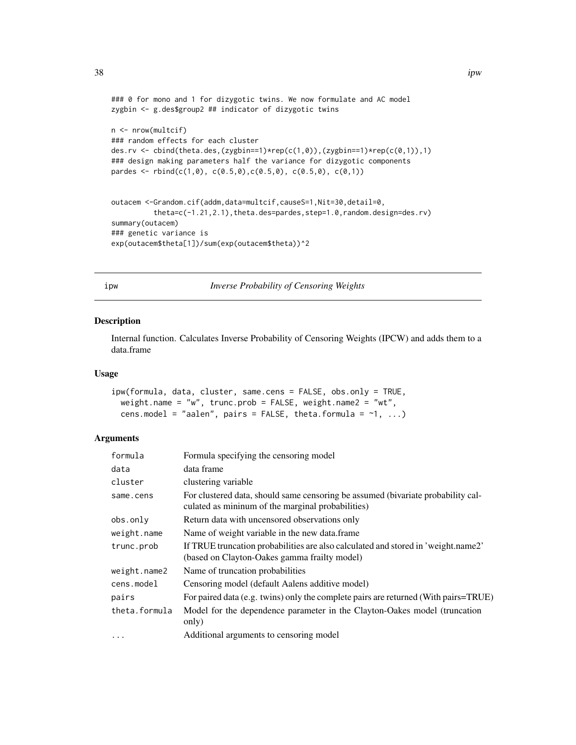```
### 0 for mono and 1 for dizygotic twins. We now formulate and AC model
zygbin <- g.des$group2 ## indicator of dizygotic twins
n <- nrow(multcif)
### random effects for each cluster
des.rv <- cbind(theta.des,(zygbin==1)*rep(c(1,0)),(zygbin==1)*rep(c(0,1)),1)
### design making parameters half the variance for dizygotic components
pardes <- rbind(c(1,0), c(0.5,0), c(0.5,0), c(0.5,0), c(0,1))
```

```
outacem <-Grandom.cif(addm,data=multcif,causeS=1,Nit=30,detail=0,
          theta=c(-1.21,2.1),theta.des=pardes,step=1.0,random.design=des.rv)
summary(outacem)
### genetic variance is
exp(outacem$theta[1])/sum(exp(outacem$theta))^2
```
ipw *Inverse Probability of Censoring Weights*

### Description

Internal function. Calculates Inverse Probability of Censoring Weights (IPCW) and adds them to a data.frame

### Usage

```
ipw(formula, data, cluster, same.cens = FALSE, obs.only = TRUE,
  weight.name = "w", trunc.prob = FALSE, weight.name2 = "wt",
  cens.model = "aalen", pairs = FALSE, theta.formula = \sim1, ...)
```

| formula       | Formula specifying the censoring model                                                                                                |
|---------------|---------------------------------------------------------------------------------------------------------------------------------------|
| data          | data frame                                                                                                                            |
| cluster       | clustering variable                                                                                                                   |
| same.cens     | For clustered data, should same censoring be assumed (bivariate probability cal-<br>culated as mininum of the marginal probabilities) |
| obs.only      | Return data with uncensored observations only                                                                                         |
| weight.name   | Name of weight variable in the new data.frame                                                                                         |
| trunc.prob    | If TRUE truncation probabilities are also calculated and stored in 'weight.name2'<br>(based on Clayton-Oakes gamma frailty model)     |
| weight.name2  | Name of truncation probabilities                                                                                                      |
| cens.model    | Censoring model (default Aalens additive model)                                                                                       |
| pairs         | For paired data (e.g. twins) only the complete pairs are returned (With pairs=TRUE)                                                   |
| theta.formula | Model for the dependence parameter in the Clayton-Oakes model (truncation<br>only)                                                    |
| $\ddots$      | Additional arguments to censoring model                                                                                               |
|               |                                                                                                                                       |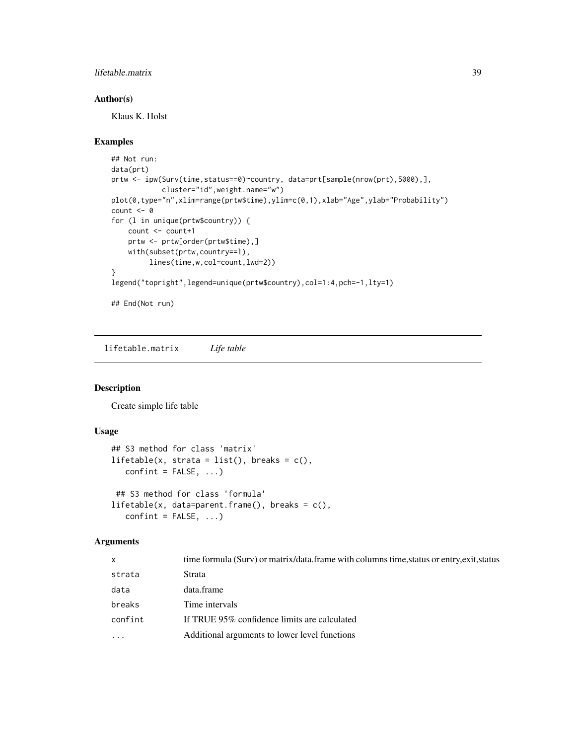### <span id="page-38-0"></span>lifetable.matrix 39

### Author(s)

Klaus K. Holst

#### Examples

```
## Not run:
data(prt)
prtw <- ipw(Surv(time,status==0)~country, data=prt[sample(nrow(prt),5000),],
            cluster="id",weight.name="w")
plot(0,type="n",xlim=range(prtw$time),ylim=c(0,1),xlab="Age",ylab="Probability")
count <- 0
for (l in unique(prtw$country)) {
   count <- count+1
   prtw <- prtw[order(prtw$time),]
   with(subset(prtw,country==l),
        lines(time,w,col=count,lwd=2))
}
legend("topright",legend=unique(prtw$country),col=1:4,pch=-1,lty=1)
## End(Not run)
```
lifetable.matrix *Life table*

### Description

Create simple life table

### Usage

```
## S3 method for class 'matrix'
lifetable(x, strata = list(), breaks = c(),
   confint = FALSE, ...)## S3 method for class 'formula'
lifetable(x, data=parent.frame(), breaks = c(),confint = FALSE, ...)
```

| X          | time formula (Surv) or matrix/data.frame with columns time, status or entry, exit, status |
|------------|-------------------------------------------------------------------------------------------|
| strata     | Strata                                                                                    |
| data       | data.frame                                                                                |
| breaks     | Time intervals                                                                            |
| confint    | If TRUE 95% confidence limits are calculated                                              |
| $\ddots$ . | Additional arguments to lower level functions                                             |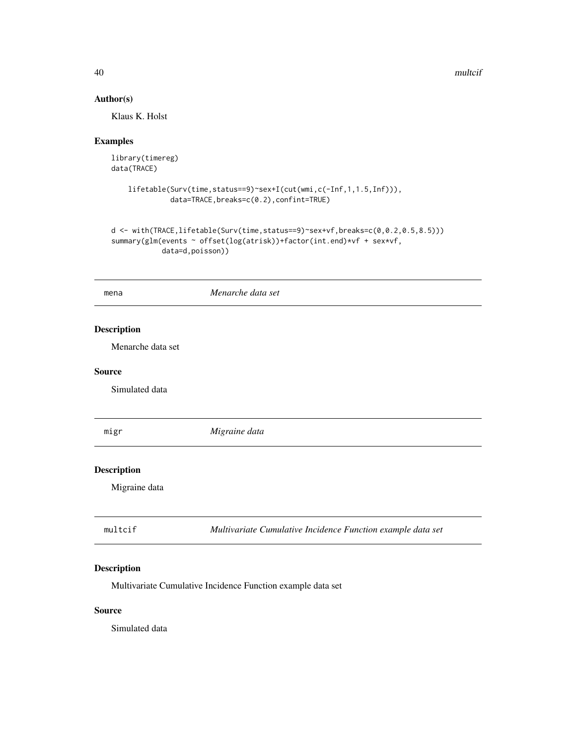40 multcif

### Author(s)

Klaus K. Holst

### Examples

```
library(timereg)
data(TRACE)
```

```
lifetable(Surv(time,status==9)~sex+I(cut(wmi,c(-Inf,1,1.5,Inf))),
         data=TRACE,breaks=c(0.2),confint=TRUE)
```

```
d <- with(TRACE,lifetable(Surv(time,status==9)~sex+vf,breaks=c(0,0.2,0.5,8.5)))
summary(glm(events ~ offset(log(atrisk))+factor(int.end)*vf + sex*vf,
           data=d,poisson))
```

| mena               | Menarche data set                                           |
|--------------------|-------------------------------------------------------------|
| <b>Description</b> |                                                             |
| Menarche data set  |                                                             |
| <b>Source</b>      |                                                             |
| Simulated data     |                                                             |
| migr               | Migraine data                                               |
| <b>Description</b> |                                                             |
| Migraine data      |                                                             |
| multcif            | Multivariate Cumulative Incidence Function example data set |

### Description

Multivariate Cumulative Incidence Function example data set

### Source

Simulated data

<span id="page-39-0"></span>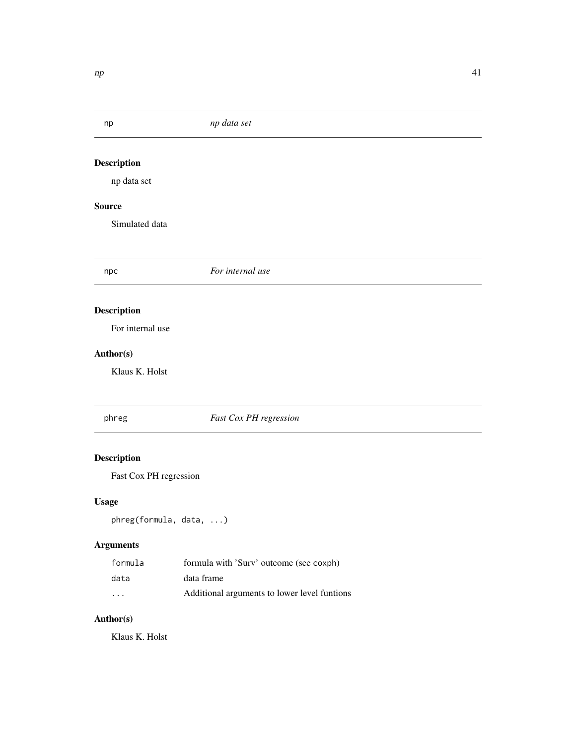### <span id="page-40-0"></span>np *np data set*

# Description

np data set

### Source

Simulated data

npc *For internal use*

### Description

For internal use

### Author(s)

Klaus K. Holst

### phreg *Fast Cox PH regression*

# Description

Fast Cox PH regression

### Usage

phreg(formula, data, ...)

### Arguments

| formula | formula with 'Surv' outcome (see coxph)      |
|---------|----------------------------------------------|
| data    | data frame                                   |
| $\cdot$ | Additional arguments to lower level funtions |

### Author(s)

Klaus K. Holst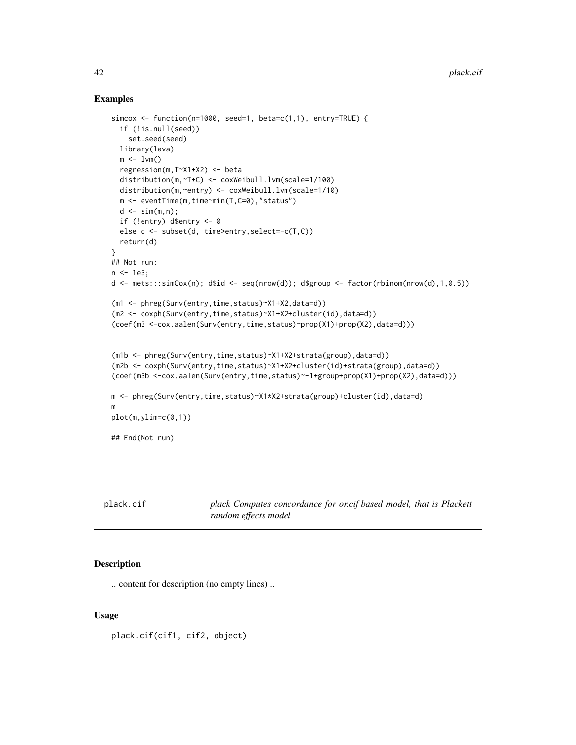#### Examples

```
simcox <- function(n=1000, seed=1, beta=c(1,1), entry=TRUE) {
  if (!is.null(seed))
    set.seed(seed)
  library(lava)
  m \le -1vm()
  regression(m,T~X1+X2) <- beta
  distribution(m,~T+C) <- coxWeibull.lvm(scale=1/100)
  distribution(m,~entry) <- coxWeibull.lvm(scale=1/10)
  m <- eventTime(m,time~min(T,C=0),"status")
  d \leq \sin(m, n);
  if (!entry) d$entry <- 0
  else d <- subset(d, time>entry,select=-c(T,C))
  return(d)
}
## Not run:
n < -1e3;d <- mets:::simCox(n); d$id <- seq(nrow(d)); d$group <- factor(rbinom(nrow(d),1,0.5))
(m1 <- phreg(Surv(entry,time,status)~X1+X2,data=d))
(m2 <- coxph(Surv(entry,time,status)~X1+X2+cluster(id),data=d))
(coef(m3 <-cox.aalen(Surv(entry,time,status)~prop(X1)+prop(X2),data=d)))
(m1b <- phreg(Surv(entry,time,status)~X1+X2+strata(group),data=d))
(m2b <- coxph(Surv(entry,time,status)~X1+X2+cluster(id)+strata(group),data=d))
(coef(m3b <-cox.aalen(Surv(entry,time,status)~-1+group+prop(X1)+prop(X2),data=d)))
m <- phreg(Surv(entry,time,status)~X1*X2+strata(group)+cluster(id),data=d)
m
plot(m,ylim=c(0,1))
## End(Not run)
```

| plack.cif | plack Computes |
|-----------|----------------|
|           |                |

# concordance for or.cif based model, that is Plackett *random effects model*

### Description

.. content for description (no empty lines) ..

#### Usage

plack.cif(cif1, cif2, object)

<span id="page-41-0"></span>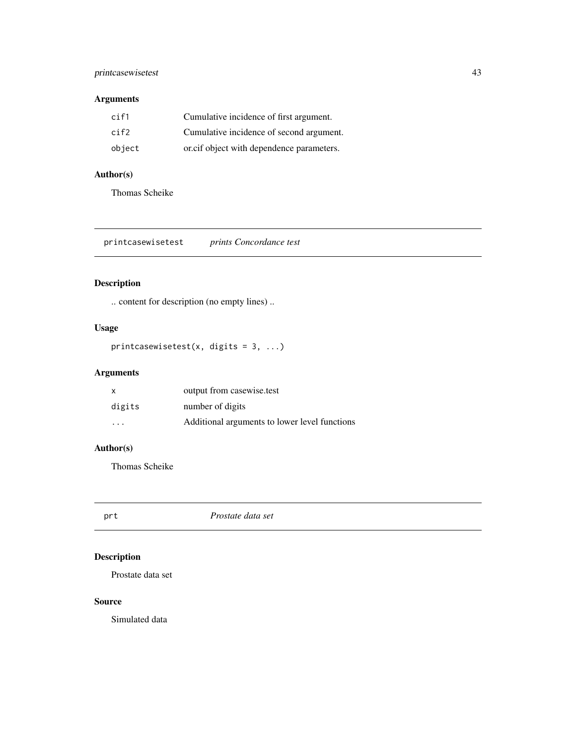### <span id="page-42-0"></span>printcasewisetest 43

### Arguments

| cif1   | Cumulative incidence of first argument.   |
|--------|-------------------------------------------|
| cif2   | Cumulative incidence of second argument.  |
| object | oricif object with dependence parameters. |

### Author(s)

Thomas Scheike

printcasewisetest *prints Concordance test*

### Description

.. content for description (no empty lines) ..

### Usage

printcasewisetest(x, digits =  $3, ...$ )

### Arguments

| X                       | output from casewise.test                     |
|-------------------------|-----------------------------------------------|
| digits                  | number of digits                              |
| $\cdot$ $\cdot$ $\cdot$ | Additional arguments to lower level functions |

### Author(s)

Thomas Scheike

prt *Prostate data set*

### Description

Prostate data set

#### Source

Simulated data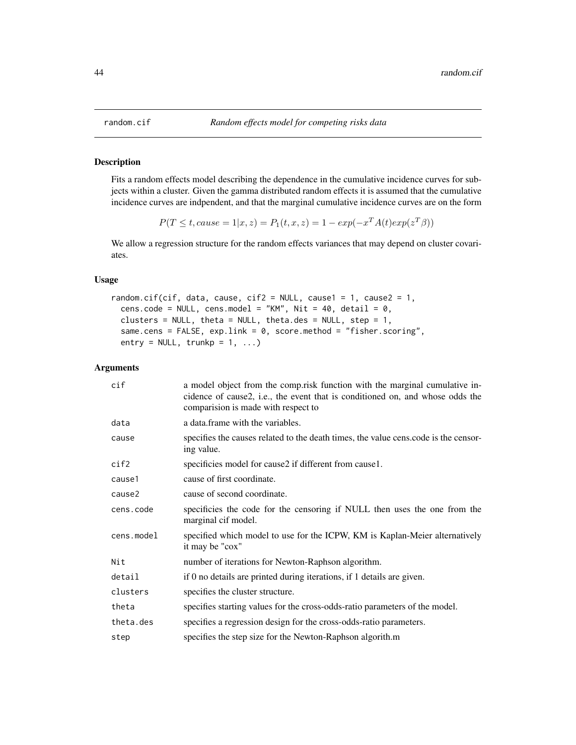#### Description

Fits a random effects model describing the dependence in the cumulative incidence curves for subjects within a cluster. Given the gamma distributed random effects it is assumed that the cumulative incidence curves are indpendent, and that the marginal cumulative incidence curves are on the form

$$
P(T \le t, cause = 1|x, z) = P_1(t, x, z) = 1 - exp(-x^T A(t) exp(z^T \beta))
$$

We allow a regression structure for the random effects variances that may depend on cluster covariates.

#### Usage

```
random.cif(cif, data, cause, cif2 = NULL, cause1 = 1, cause2 = 1,
 cens.code = NULL, cens.model = "KM", Nit = 40, detail = 0,
 clusters = NULL, theta = NULL, theta.des = NULL, step = 1,
 same.cens = FALSE, exp.link = 0, score.method = "fisher.scoring",
 entry = NULL, trunkp = 1, ...)
```

| cif        | a model object from the comp.risk function with the marginal cumulative in-<br>cidence of cause2, i.e., the event that is conditioned on, and whose odds the<br>comparision is made with respect to |
|------------|-----------------------------------------------------------------------------------------------------------------------------------------------------------------------------------------------------|
| data       | a data frame with the variables.                                                                                                                                                                    |
| cause      | specifies the causes related to the death times, the value cens.code is the censor-<br>ing value.                                                                                                   |
| cif2       | specificies model for cause2 if different from cause1.                                                                                                                                              |
| cause1     | cause of first coordinate.                                                                                                                                                                          |
| cause2     | cause of second coordinate.                                                                                                                                                                         |
| cens.code  | specificies the code for the censoring if NULL then uses the one from the<br>marginal cif model.                                                                                                    |
| cens.model | specified which model to use for the ICPW, KM is Kaplan-Meier alternatively<br>it may be "cox"                                                                                                      |
| Nit        | number of iterations for Newton-Raphson algorithm.                                                                                                                                                  |
| detail     | if 0 no details are printed during iterations, if 1 details are given.                                                                                                                              |
| clusters   | specifies the cluster structure.                                                                                                                                                                    |
| theta      | specifies starting values for the cross-odds-ratio parameters of the model.                                                                                                                         |
| theta.des  | specifies a regression design for the cross-odds-ratio parameters.                                                                                                                                  |
| step       | specifies the step size for the Newton-Raphson algorith.m                                                                                                                                           |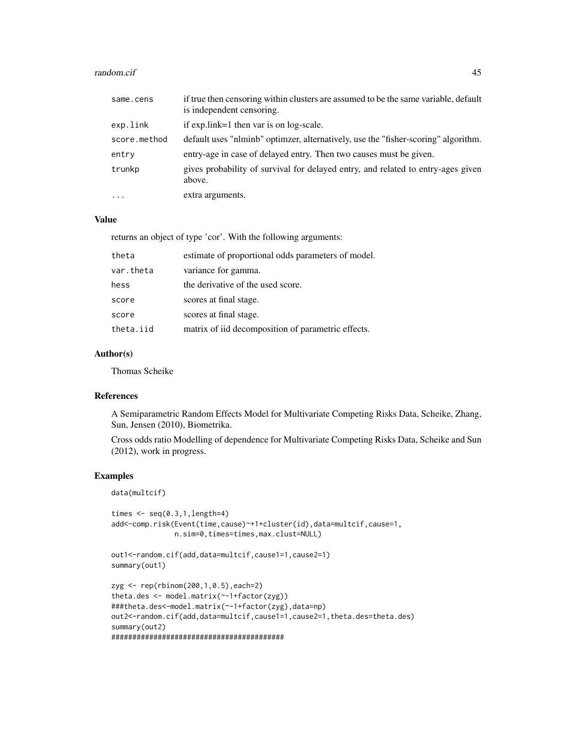#### random.cif 45

| same.cens           | if true then censoring within clusters are assumed to be the same variable, default<br>is independent censoring. |
|---------------------|------------------------------------------------------------------------------------------------------------------|
| exp.link            | if $expu$ . link=1 then var is on log-scale.                                                                     |
| score.method        | default uses "nlminb" optimizer, alternatively, use the "fisher-scoring" algorithm.                              |
| entry               | entry-age in case of delayed entry. Then two causes must be given.                                               |
| trunkp              | gives probability of survival for delayed entry, and related to entry-ages given<br>above.                       |
| $\cdot \cdot \cdot$ | extra arguments.                                                                                                 |

### Value

returns an object of type 'cor'. With the following arguments:

| theta<br>estimate of proportional odds parameters of model.     |  |
|-----------------------------------------------------------------|--|
| variance for gamma.<br>var.theta                                |  |
| the derivative of the used score.<br>hess                       |  |
| scores at final stage.<br>score                                 |  |
| scores at final stage.<br>score                                 |  |
| matrix of iid decomposition of parametric effects.<br>theta.iid |  |

### Author(s)

Thomas Scheike

### References

A Semiparametric Random Effects Model for Multivariate Competing Risks Data, Scheike, Zhang, Sun, Jensen (2010), Biometrika.

Cross odds ratio Modelling of dependence for Multivariate Competing Risks Data, Scheike and Sun (2012), work in progress.

### Examples

data(multcif)

```
times \leq seq(0.3,1, length=4)
add<-comp.risk(Event(time,cause)~+1+cluster(id),data=multcif,cause=1,
               n.sim=0,times=times,max.clust=NULL)
```

```
out1<-random.cif(add,data=multcif,cause1=1,cause2=1)
summary(out1)
```

```
zyg <- rep(rbinom(200,1,0.5),each=2)
theta.des <- model.matrix(~-1+factor(zyg))
###theta.des<-model.matrix(~-1+factor(zyg),data=np)
out2<-random.cif(add,data=multcif,cause1=1,cause2=1,theta.des=theta.des)
summary(out2)
#########################################
```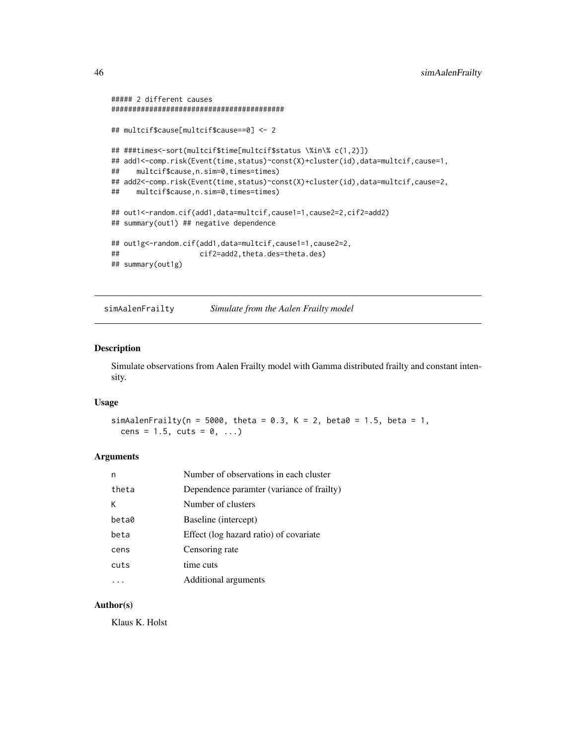```
##### 2 different causes
#########################################
## multcif$cause[multcif$cause==0] <- 2
## ###times<-sort(multcif$time[multcif$status \%in\% c(1,2)])
## add1<-comp.risk(Event(time,status)~const(X)+cluster(id),data=multcif,cause=1,
## multcif$cause,n.sim=0,times=times)
## add2<-comp.risk(Event(time,status)~const(X)+cluster(id),data=multcif,cause=2,
## multcif$cause,n.sim=0,times=times)
## out1<-random.cif(add1,data=multcif,cause1=1,cause2=2,cif2=add2)
## summary(out1) ## negative dependence
## out1g<-random.cif(add1,data=multcif,cause1=1,cause2=2,
## cif2=add2,theta.des=theta.des)
## summary(out1g)
```
simAalenFrailty *Simulate from the Aalen Frailty model*

#### Description

Simulate observations from Aalen Frailty model with Gamma distributed frailty and constant intensity.

#### Usage

simAalenFrailty(n = 5000, theta = 0.3, K = 2, beta0 = 1.5, beta = 1, cens =  $1.5$ , cuts =  $0, ...$ )

#### Arguments

| n     | Number of observations in each cluster    |
|-------|-------------------------------------------|
| theta | Dependence paramter (variance of frailty) |
| К     | Number of clusters                        |
| beta0 | Baseline (intercept)                      |
| beta  | Effect (log hazard ratio) of covariate    |
| cens  | Censoring rate                            |
| cuts  | time cuts                                 |
|       | Additional arguments                      |

#### Author(s)

Klaus K. Holst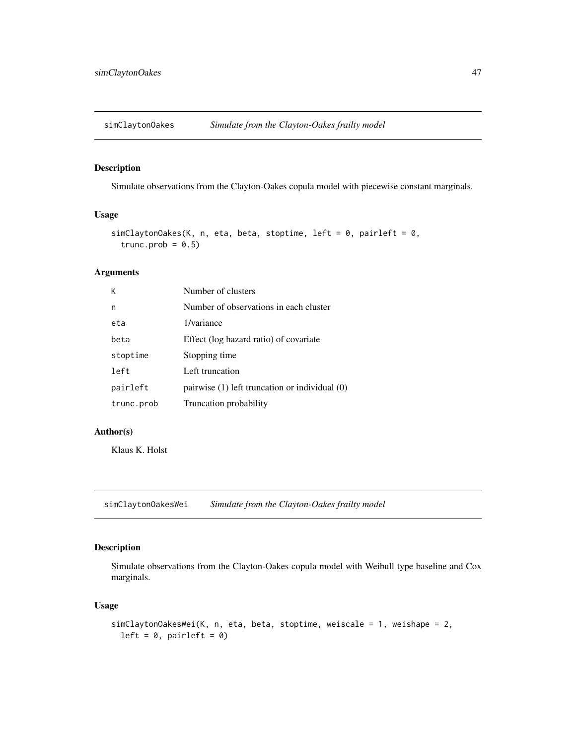<span id="page-46-0"></span>

### Description

Simulate observations from the Clayton-Oakes copula model with piecewise constant marginals.

#### Usage

```
simClaytonOakes(K, n, eta, beta, stoptime, left = 0, pairleft = 0,
  trunc.prob = 0.5)
```
### Arguments

| Κ          | Number of clusters                                 |
|------------|----------------------------------------------------|
| n          | Number of observations in each cluster             |
| eta        | 1/variance                                         |
| beta       | Effect (log hazard ratio) of covariate             |
| stoptime   | Stopping time                                      |
| left       | Left truncation                                    |
| pairleft   | pairwise $(1)$ left truncation or individual $(0)$ |
| trunc.prob | Truncation probability                             |

#### Author(s)

Klaus K. Holst

simClaytonOakesWei *Simulate from the Clayton-Oakes frailty model*

### Description

Simulate observations from the Clayton-Oakes copula model with Weibull type baseline and Cox marginals.

#### Usage

```
simClaytonOakesWei(K, n, eta, beta, stoptime, weiscale = 1, weishape = 2,
  left = 0, pairleft = 0)
```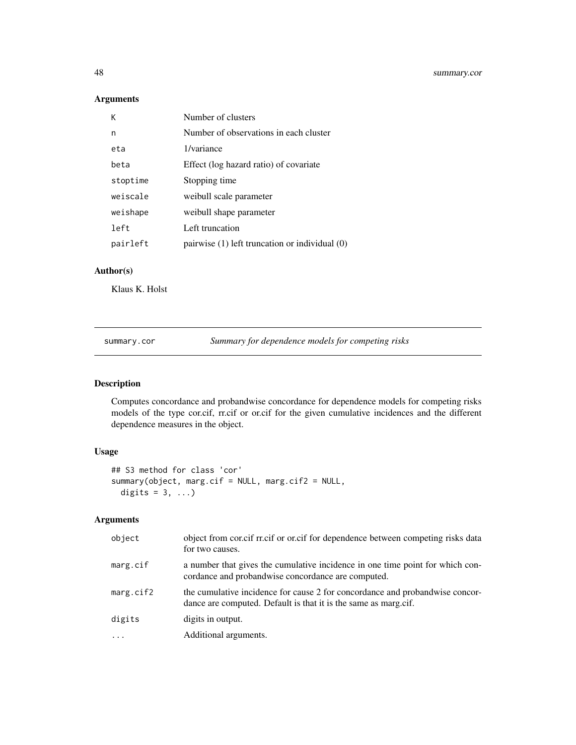### Arguments

| Κ        | Number of clusters                                 |
|----------|----------------------------------------------------|
| n        | Number of observations in each cluster             |
| eta      | 1/variance                                         |
| heta     | Effect (log hazard ratio) of covariate             |
| stoptime | Stopping time                                      |
| weiscale | weibull scale parameter                            |
| weishape | weibull shape parameter                            |
| left     | Left truncation                                    |
| pairleft | pairwise $(1)$ left truncation or individual $(0)$ |
|          |                                                    |

### Author(s)

Klaus K. Holst

summary.cor *Summary for dependence models for competing risks*

### Description

Computes concordance and probandwise concordance for dependence models for competing risks models of the type cor.cif, rr.cif or or.cif for the given cumulative incidences and the different dependence measures in the object.

### Usage

```
## S3 method for class 'cor'
summary(object, marg.cif = NULL, marg.cif2 = NULL,
 digits = 3, ...)
```

| object    | object from cor.cif rr.cif or or.cif for dependence between competing risks data<br>for two causes.                                             |
|-----------|-------------------------------------------------------------------------------------------------------------------------------------------------|
| marg.cif  | a number that gives the cumulative incidence in one time point for which con-<br>cordance and probandwise concordance are computed.             |
| marg.cif2 | the cumulative incidence for cause 2 for concordance and probandwise concor-<br>dance are computed. Default is that it is the same as marg.cif. |
| digits    | digits in output.                                                                                                                               |
| $\cdots$  | Additional arguments.                                                                                                                           |

<span id="page-47-0"></span>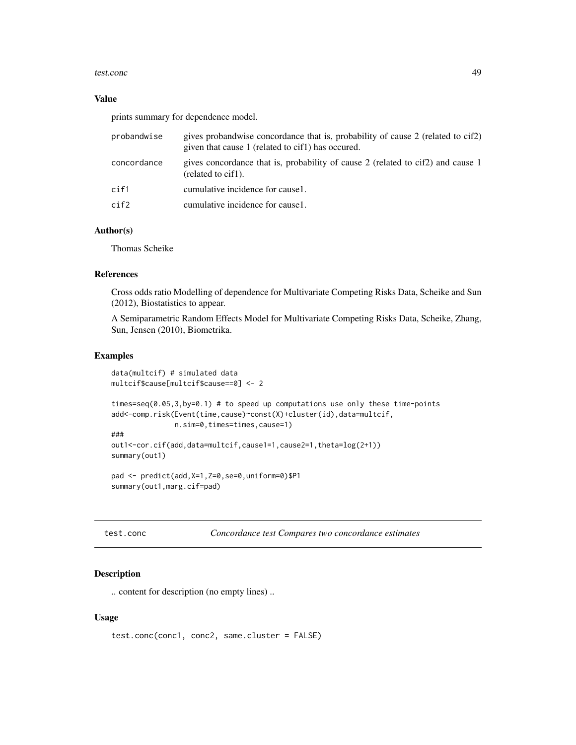#### <span id="page-48-0"></span>test.conc 49

#### Value

prints summary for dependence model.

| probandwise | gives probandwise concordance that is, probability of cause 2 (related to cif2)<br>given that cause 1 (related to cif1) has occured. |
|-------------|--------------------------------------------------------------------------------------------------------------------------------------|
| concordance | gives concordance that is, probability of cause 2 (related to cif2) and cause 1<br>(related to cif1).                                |
| cif1        | cumulative incidence for cause 1.                                                                                                    |
| cif2        | cumulative incidence for cause 1.                                                                                                    |

#### Author(s)

Thomas Scheike

### References

Cross odds ratio Modelling of dependence for Multivariate Competing Risks Data, Scheike and Sun (2012), Biostatistics to appear.

A Semiparametric Random Effects Model for Multivariate Competing Risks Data, Scheike, Zhang, Sun, Jensen (2010), Biometrika.

#### Examples

```
data(multcif) # simulated data
multcif$cause[multcif$cause==0] <- 2
times=seq(0.05,3,by=0.1) # to speed up computations use only these time-points
add<-comp.risk(Event(time,cause)~const(X)+cluster(id),data=multcif,
              n.sim=0,times=times,cause=1)
###
out1<-cor.cif(add,data=multcif,cause1=1,cause2=1,theta=log(2+1))
summary(out1)
pad <- predict(add,X=1,Z=0,se=0,uniform=0)$P1
summary(out1,marg.cif=pad)
```
test.conc *Concordance test Compares two concordance estimates*

### Description

.. content for description (no empty lines) ..

#### Usage

```
test.conc(conc1, conc2, same.cluster = FALSE)
```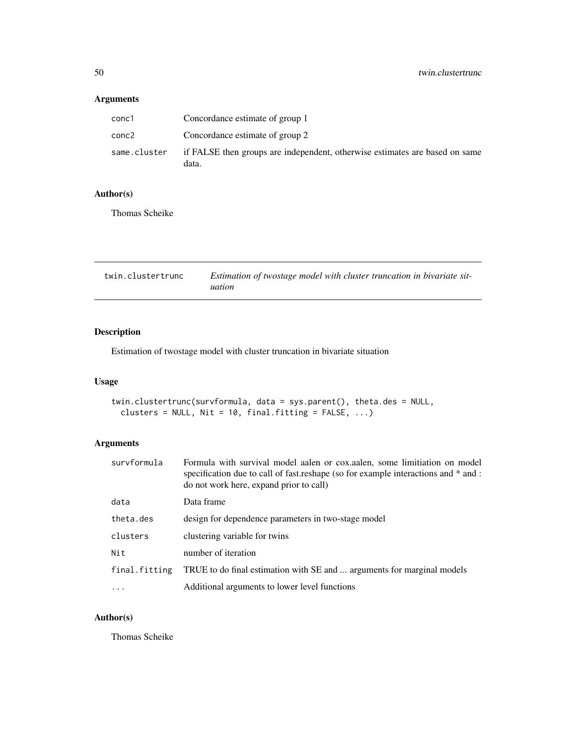### <span id="page-49-0"></span>Arguments

| conc1        | Concordance estimate of group 1                                                      |
|--------------|--------------------------------------------------------------------------------------|
| conc2        | Concordance estimate of group 2                                                      |
| same.cluster | if FALSE then groups are independent, otherwise estimates are based on same<br>data. |

### Author(s)

Thomas Scheike

| twin.clustertrunc | Estimation of twostage model with cluster truncation in bivariate sit- |
|-------------------|------------------------------------------------------------------------|
|                   | uation                                                                 |

### Description

Estimation of twostage model with cluster truncation in bivariate situation

### Usage

```
twin.clustertrunc(survformula, data = sys.parent(), theta.des = NULL,
 clusters = NULL, Nit = 10, final.fitting = FALSE, ...)
```
### Arguments

| survformula   | Formula with survival model aalen or cox.aalen, some limitiation on model<br>specification due to call of fast reshape (so for example interactions and $*$ and :<br>do not work here, expand prior to call) |
|---------------|--------------------------------------------------------------------------------------------------------------------------------------------------------------------------------------------------------------|
| data          | Data frame                                                                                                                                                                                                   |
| theta.des     | design for dependence parameters in two-stage model                                                                                                                                                          |
| clusters      | clustering variable for twins                                                                                                                                                                                |
| Nit           | number of iteration                                                                                                                                                                                          |
| final.fitting | TRUE to do final estimation with SE and  arguments for marginal models                                                                                                                                       |
| $\cdot$       | Additional arguments to lower level functions                                                                                                                                                                |

### Author(s)

Thomas Scheike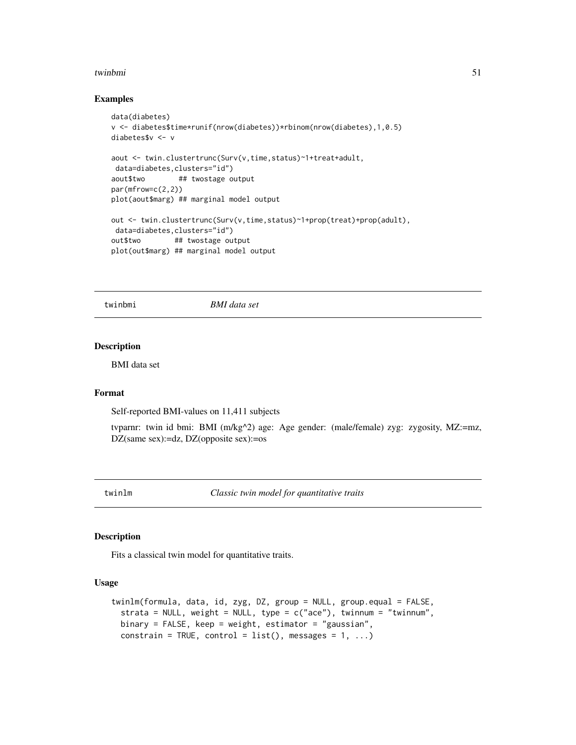#### <span id="page-50-0"></span>twinbmi 51

#### Examples

```
data(diabetes)
v <- diabetes$time*runif(nrow(diabetes))*rbinom(nrow(diabetes),1,0.5)
diabetes$v <- v
aout <- twin.clustertrunc(Surv(v,time,status)~1+treat+adult,
data=diabetes,clusters="id")
aout$two ## twostage output
par(mfrow=c(2,2))
plot(aout$marg) ## marginal model output
out <- twin.clustertrunc(Surv(v,time,status)~1+prop(treat)+prop(adult),
data=diabetes,clusters="id")
out$two ## twostage output
plot(out$marg) ## marginal model output
```
twinbmi *BMI data set*

#### Description

BMI data set

### Format

Self-reported BMI-values on 11,411 subjects

tvparnr: twin id bmi: BMI (m/kg^2) age: Age gender: (male/female) zyg: zygosity, MZ:=mz, DZ(same sex):=dz, DZ(opposite sex):=os

<span id="page-50-1"></span>twinlm *Classic twin model for quantitative traits*

#### <span id="page-50-2"></span>Description

Fits a classical twin model for quantitative traits.

#### Usage

```
twinlm(formula, data, id, zyg, DZ, group = NULL, group.equal = FALSE,
 strata = NULL, weight = NULL, type = c("ace"), twinnum = "twinnum",
 binary = FALSE, keep = weight, estimator = "gaussian",
 constrain = TRUE, control = list(), messages = 1, ...)
```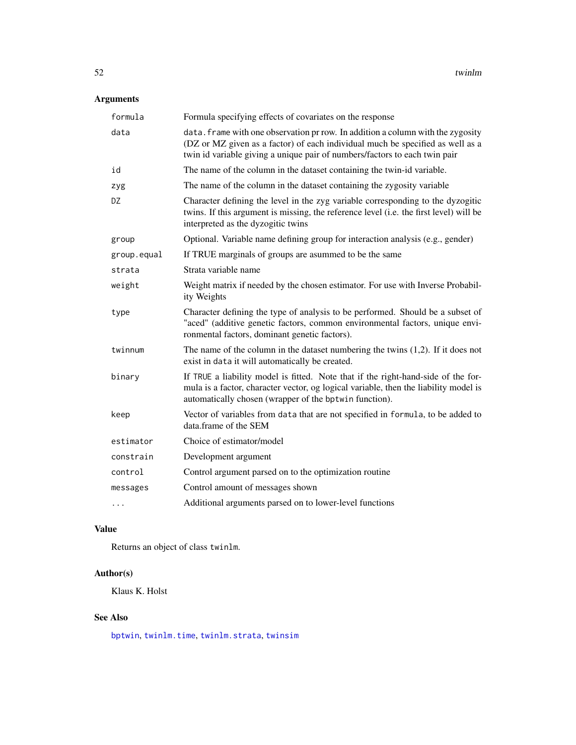# <span id="page-51-0"></span>Arguments

| formula     | Formula specifying effects of covariates on the response                                                                                                                                                                                        |
|-------------|-------------------------------------------------------------------------------------------------------------------------------------------------------------------------------------------------------------------------------------------------|
| data        | data. frame with one observation pr row. In addition a column with the zygosity<br>(DZ or MZ given as a factor) of each individual much be specified as well as a<br>twin id variable giving a unique pair of numbers/factors to each twin pair |
| id          | The name of the column in the dataset containing the twin-id variable.                                                                                                                                                                          |
| zyg         | The name of the column in the dataset containing the zygosity variable                                                                                                                                                                          |
| DZ.         | Character defining the level in the zyg variable corresponding to the dyzogitic<br>twins. If this argument is missing, the reference level (i.e. the first level) will be<br>interpreted as the dyzogitic twins                                 |
| group       | Optional. Variable name defining group for interaction analysis (e.g., gender)                                                                                                                                                                  |
| group.equal | If TRUE marginals of groups are asummed to be the same                                                                                                                                                                                          |
| strata      | Strata variable name                                                                                                                                                                                                                            |
| weight      | Weight matrix if needed by the chosen estimator. For use with Inverse Probabil-<br>ity Weights                                                                                                                                                  |
| type        | Character defining the type of analysis to be performed. Should be a subset of<br>"aced" (additive genetic factors, common environmental factors, unique envi-<br>ronmental factors, dominant genetic factors).                                 |
| twinnum     | The name of the column in the dataset numbering the twins $(1,2)$ . If it does not<br>exist in data it will automatically be created.                                                                                                           |
| binary      | If TRUE a liability model is fitted. Note that if the right-hand-side of the for-<br>mula is a factor, character vector, og logical variable, then the liability model is<br>automatically chosen (wrapper of the bptwin function).             |
| keep        | Vector of variables from data that are not specified in formula, to be added to<br>data.frame of the SEM                                                                                                                                        |
| estimator   | Choice of estimator/model                                                                                                                                                                                                                       |
| constrain   | Development argument                                                                                                                                                                                                                            |
| control     | Control argument parsed on to the optimization routine                                                                                                                                                                                          |
| messages    | Control amount of messages shown                                                                                                                                                                                                                |
| .           | Additional arguments parsed on to lower-level functions                                                                                                                                                                                         |

## Value

Returns an object of class twinlm.

# Author(s)

Klaus K. Holst

### See Also

[bptwin](#page-10-2), [twinlm.time](#page-10-1), [twinlm.strata](#page-50-2), [twinsim](#page-52-1)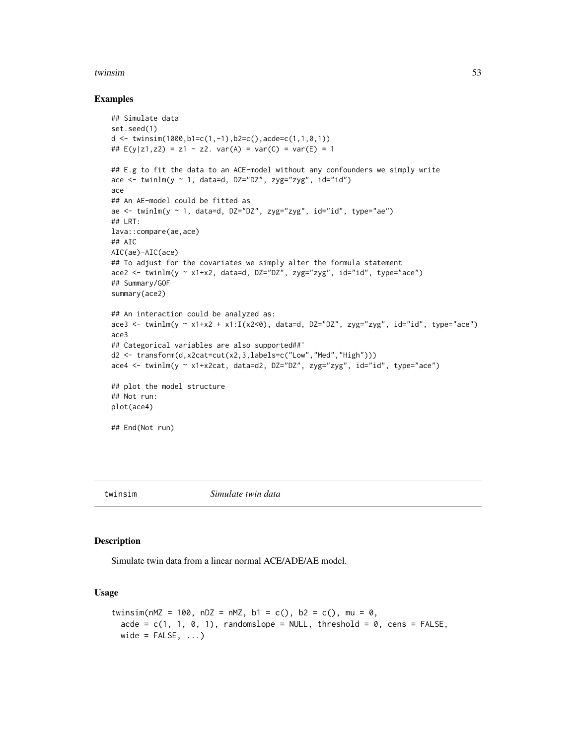#### <span id="page-52-0"></span>twinsim 53

#### Examples

```
## Simulate data
set.seed(1)
d <- twinsim(1000,b1=c(1,-1),b2=c(),acde=c(1,1,0,1))
## E(y|z1, z2) = z1 - z2. var(A) = var(C) = var(E) = 1
## E.g to fit the data to an ACE-model without any confounders we simply write
ace \le twinlm(y \sim 1, data=d, DZ="DZ", zyg="zyg", id="id")
ace
## An AE-model could be fitted as
ae \le twinlm(y \sim 1, data=d, DZ="DZ", zyg="zyg", id="id", type="ae")
## LRT:
lava::compare(ae,ace)
## AIC
AIC(ae)-AIC(ace)
## To adjust for the covariates we simply alter the formula statement
ace2 <- twinlm(y ~ x1+x2, data=d, DZ="DZ", zyg="zyg", id="id", type="ace")
## Summary/GOF
summary(ace2)
## An interaction could be analyzed as:
ace3 <- twinlm(y ~ x1+x2 + x1:I(x2<0), data=d, DZ="DZ", zyg="zyg", id="id", type="ace")
ace3
## Categorical variables are also supported##'
d2 <- transform(d,x2cat=cut(x2,3,labels=c("Low","Med","High")))
ace4 <- twinlm(y ~ x1+x2cat, data=d2, DZ="DZ", zyg="zyg", id="id", type="ace")
## plot the model structure
## Not run:
plot(ace4)
## End(Not run)
```
<span id="page-52-1"></span>

```
twinsim Simulate twin data
```
#### **Description**

Simulate twin data from a linear normal ACE/ADE/AE model.

#### Usage

```
twinsim(nMZ = 100, nDZ = nMZ, b1 = c(), b2 = c(), mu = 0,
  acde = c(1, 1, 0, 1), randomslope = NULL, threshold = 0, cens = FALSE,
 wide = FALSE, \ldots)
```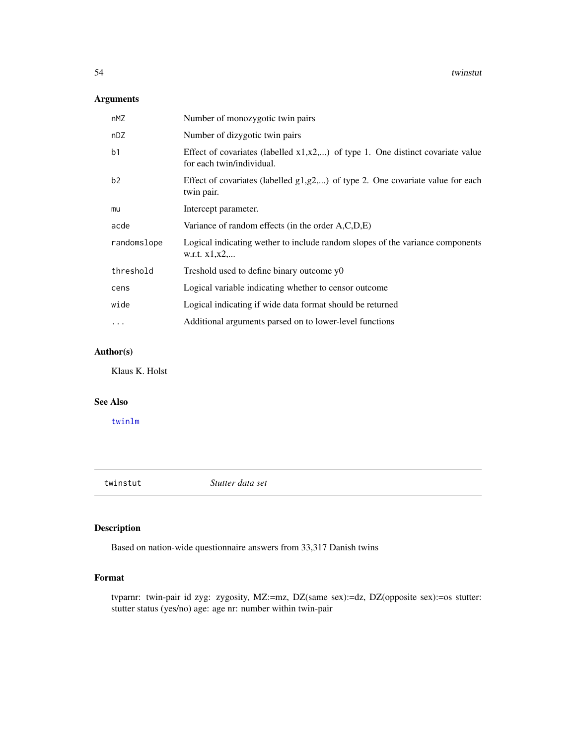### <span id="page-53-0"></span>Arguments

| nMZ            | Number of monozygotic twin pairs                                                                                 |
|----------------|------------------------------------------------------------------------------------------------------------------|
| nDZ            | Number of dizygotic twin pairs                                                                                   |
| b <sub>1</sub> | Effect of covariates (labelled $x1, x2, $ ) of type 1. One distinct covariate value<br>for each twin/individual. |
| b2             | Effect of covariates (labelled $g1, g2, \ldots$ ) of type 2. One covariate value for each<br>twin pair.          |
| mu             | Intercept parameter.                                                                                             |
| acde           | Variance of random effects (in the order A,C,D,E)                                                                |
| randomslope    | Logical indicating wether to include random slopes of the variance components<br>w.r.t. $x1, x2, $               |
| threshold      | Treshold used to define binary outcome y0                                                                        |
| cens           | Logical variable indicating whether to censor outcome                                                            |
| wide           | Logical indicating if wide data format should be returned                                                        |
| $\cdots$       | Additional arguments parsed on to lower-level functions                                                          |

### Author(s)

Klaus K. Holst

### See Also

[twinlm](#page-50-1)

twinstut *Stutter data set*

### Description

Based on nation-wide questionnaire answers from 33,317 Danish twins

### Format

tvparnr: twin-pair id zyg: zygosity, MZ:=mz, DZ(same sex):=dz, DZ(opposite sex):=os stutter: stutter status (yes/no) age: age nr: number within twin-pair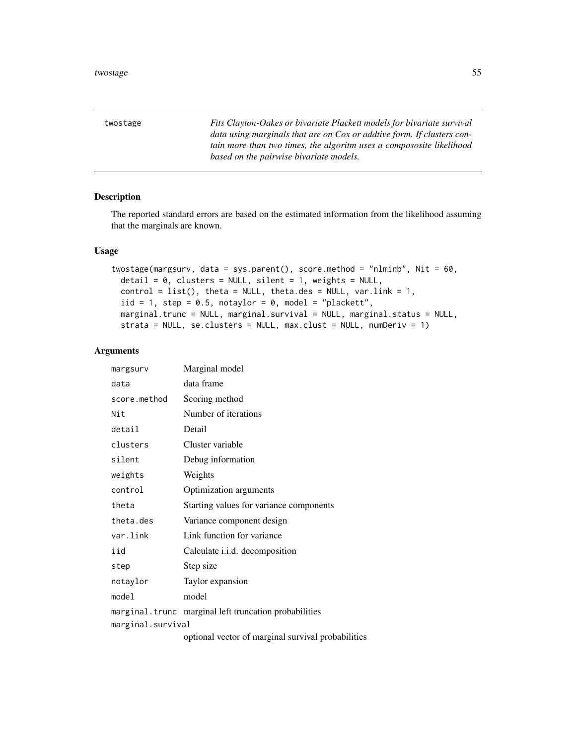<span id="page-54-0"></span>twostage *Fits Clayton-Oakes or bivariate Plackett models for bivariate survival data using marginals that are on Cox or addtive form. If clusters contain more than two times, the algoritm uses a compososite likelihood based on the pairwise bivariate models.*

### Description

The reported standard errors are based on the estimated information from the likelihood assuming that the marginals are known.

#### Usage

```
twostage(margsurv, data = sys.parent(), score.method = "nlminb", Nit = 60,
  \text{detail} = 0, clusters = NULL, silent = 1, weights = NULL,
  control = list(), theta = NULL, theta.des = NULL, var.link = 1,
  iid = 1, step = 0.5, notaylor = 0, model = "plackett",
 marginal.trunc = NULL, marginal.survival = NULL, marginal.status = NULL,
  strata = NULL, se.clusters = NULL, max.clust = NULL, numDeriv = 1)
```
#### Arguments

| margsurv          | Marginal model                                        |
|-------------------|-------------------------------------------------------|
| data              | data frame                                            |
| score.method      | Scoring method                                        |
| Nit               | Number of iterations                                  |
| detail            | Detail                                                |
| clusters          | Cluster variable                                      |
| silent            | Debug information                                     |
| weights           | Weights                                               |
| control           | Optimization arguments                                |
| theta             | Starting values for variance components               |
| theta.des         | Variance component design                             |
| var.link          | Link function for variance                            |
| iid               | Calculate <i>i.i.d.</i> decomposition                 |
| step              | Step size                                             |
| notaylor          | Taylor expansion                                      |
| model             | model                                                 |
|                   | marginal.trunc marginal left truncation probabilities |
| marginal.survival | optional vector of marginal survival probabilities    |
|                   |                                                       |

optional vector of marginal survival probabilities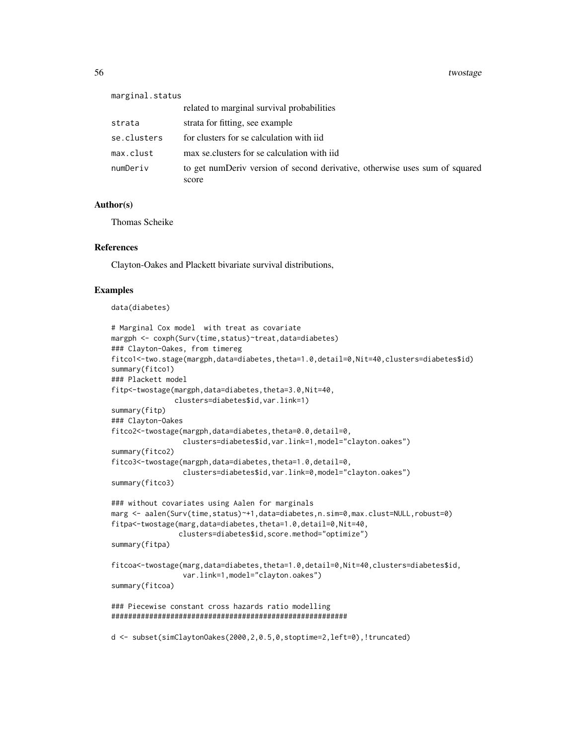| marginal.status |                                                                                      |
|-----------------|--------------------------------------------------------------------------------------|
|                 | related to marginal survival probabilities                                           |
| strata          | strata for fitting, see example                                                      |
| se.clusters     | for clusters for se calculation with iid                                             |
| max.clust       | max se clusters for se calculation with iid                                          |
| numDeriv        | to get numDeriv version of second derivative, otherwise uses sum of squared<br>score |

#### Author(s)

Thomas Scheike

#### References

Clayton-Oakes and Plackett bivariate survival distributions,

#### Examples

data(diabetes)

```
# Marginal Cox model with treat as covariate
margph <- coxph(Surv(time,status)~treat,data=diabetes)
### Clayton-Oakes, from timereg
fitco1<-two.stage(margph,data=diabetes,theta=1.0,detail=0,Nit=40,clusters=diabetes$id)
summary(fitco1)
### Plackett model
fitp<-twostage(margph,data=diabetes,theta=3.0,Nit=40,
               clusters=diabetes$id,var.link=1)
summary(fitp)
### Clayton-Oakes
fitco2<-twostage(margph,data=diabetes,theta=0.0,detail=0,
                 clusters=diabetes$id,var.link=1,model="clayton.oakes")
summary(fitco2)
fitco3<-twostage(margph,data=diabetes,theta=1.0,detail=0,
                 clusters=diabetes$id,var.link=0,model="clayton.oakes")
summary(fitco3)
### without covariates using Aalen for marginals
marg <- aalen(Surv(time,status)~+1,data=diabetes,n.sim=0,max.clust=NULL,robust=0)
fitpa<-twostage(marg,data=diabetes,theta=1.0,detail=0,Nit=40,
                clusters=diabetes$id,score.method="optimize")
summary(fitpa)
fitcoa<-twostage(marg,data=diabetes,theta=1.0,detail=0,Nit=40,clusters=diabetes$id,
                 var.link=1,model="clayton.oakes")
summary(fitcoa)
### Piecewise constant cross hazards ratio modelling
########################################################
d <- subset(simClaytonOakes(2000,2,0.5,0,stoptime=2,left=0),!truncated)
```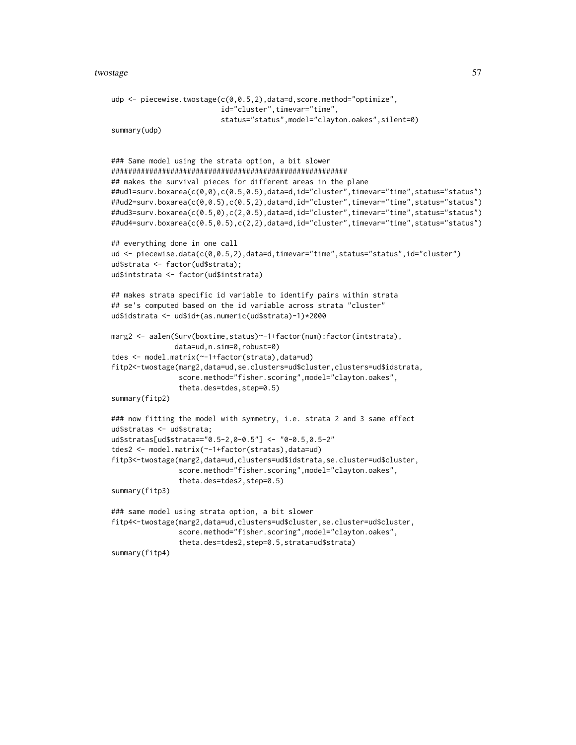#### twostage 57

```
udp <- piecewise.twostage(c(0,0.5,2),data=d,score.method="optimize",
                          id="cluster",timevar="time",
                          status="status",model="clayton.oakes",silent=0)
summary(udp)
### Same model using the strata option, a bit slower
########################################################
## makes the survival pieces for different areas in the plane
##ud1=surv.boxarea(c(0,0),c(0.5,0.5),data=d,id="cluster",timevar="time",status="status")
##ud2=surv.boxarea(c(0,0.5),c(0.5,2),data=d,id="cluster",timevar="time",status="status")
##ud3=surv.boxarea(c(0.5,0),c(2,0.5),data=d,id="cluster",timevar="time",status="status")
##ud4=surv.boxarea(c(0.5,0.5),c(2,2),data=d,id="cluster",timevar="time",status="status")
## everything done in one call
ud <- piecewise.data(c(0,0.5,2),data=d,timevar="time",status="status",id="cluster")
ud$strata <- factor(ud$strata);
ud$intstrata <- factor(ud$intstrata)
## makes strata specific id variable to identify pairs within strata
## se's computed based on the id variable across strata "cluster"
ud$idstrata <- ud$id+(as.numeric(ud$strata)-1)*2000
marg2 <- aalen(Surv(boxtime,status)~-1+factor(num):factor(intstrata),
               data=ud,n.sim=0,robust=0)
tdes <- model.matrix(~-1+factor(strata),data=ud)
fitp2<-twostage(marg2,data=ud,se.clusters=ud$cluster,clusters=ud$idstrata,
                score.method="fisher.scoring",model="clayton.oakes",
                theta.des=tdes,step=0.5)
summary(fitp2)
### now fitting the model with symmetry, i.e. strata 2 and 3 same effect
ud$stratas <- ud$strata;
ud$stratas[ud$strata=="0.5-2,0-0.5"] <- "0-0.5,0.5-2"
tdes2 <- model.matrix(~-1+factor(stratas),data=ud)
fitp3<-twostage(marg2,data=ud,clusters=ud$idstrata,se.cluster=ud$cluster,
                score.method="fisher.scoring",model="clayton.oakes",
                theta.des=tdes2,step=0.5)
summary(fitp3)
### same model using strata option, a bit slower
fitp4<-twostage(marg2,data=ud,clusters=ud$cluster,se.cluster=ud$cluster,
                score.method="fisher.scoring",model="clayton.oakes",
                theta.des=tdes2,step=0.5,strata=ud$strata)
summary(fitp4)
```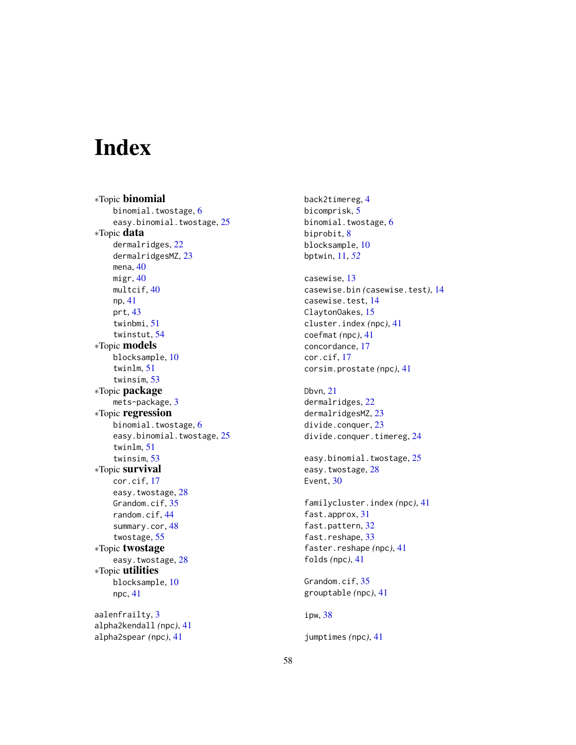# <span id="page-57-0"></span>Index

∗Topic binomial binomial.twostage, [6](#page-5-0) easy.binomial.twostage, [25](#page-24-0) ∗Topic data dermalridges, [22](#page-21-0) dermalridgesMZ, [23](#page-22-0) mena, [40](#page-39-0) migr, [40](#page-39-0) multcif, [40](#page-39-0) np, [41](#page-40-0) prt, [43](#page-42-0) twinbmi, [51](#page-50-0) twinstut, [54](#page-53-0) ∗Topic models blocksample, [10](#page-9-0) twinlm, [51](#page-50-0) twinsim, [53](#page-52-0) ∗Topic package mets-package, [3](#page-2-0) ∗Topic regression binomial.twostage, [6](#page-5-0) easy.binomial.twostage, [25](#page-24-0) twinlm, [51](#page-50-0) twinsim, [53](#page-52-0) ∗Topic survival cor.cif, [17](#page-16-0) easy.twostage, [28](#page-27-0) Grandom.cif, [35](#page-34-0) random.cif, [44](#page-43-0) summary.cor, [48](#page-47-0) twostage, [55](#page-54-0) ∗Topic twostage easy.twostage, [28](#page-27-0) ∗Topic utilities blocksample, [10](#page-9-0) npc, [41](#page-40-0) aalenfrailty, [3](#page-2-0) alpha2kendall *(*npc*)*, [41](#page-40-0) alpha2spear *(*npc*)*, [41](#page-40-0)

back2timereg, [4](#page-3-0) bicomprisk, [5](#page-4-0) binomial.twostage, [6](#page-5-0) biprobit, [8](#page-7-0) blocksample, [10](#page-9-0) bptwin, [11,](#page-10-0) *[52](#page-51-0)* casewise, [13](#page-12-0) casewise.bin *(*casewise.test*)*, [14](#page-13-0) casewise.test, [14](#page-13-0) ClaytonOakes, [15](#page-14-0) cluster.index *(*npc*)*, [41](#page-40-0) coefmat *(*npc*)*, [41](#page-40-0) concordance, [17](#page-16-0) cor.cif, [17](#page-16-0) corsim.prostate *(*npc*)*, [41](#page-40-0) Dbvn, [21](#page-20-0) dermalridges, [22](#page-21-0) dermalridgesMZ, [23](#page-22-0) divide.conquer, [23](#page-22-0) divide.conquer.timereg, [24](#page-23-0) easy.binomial.twostage, [25](#page-24-0) easy.twostage, [28](#page-27-0) Event, [30](#page-29-0) familycluster.index *(*npc*)*, [41](#page-40-0) fast.approx, [31](#page-30-0) fast.pattern, [32](#page-31-0) fast.reshape, [33](#page-32-0) faster.reshape *(*npc*)*, [41](#page-40-0) folds *(*npc*)*, [41](#page-40-0) Grandom.cif, [35](#page-34-0) grouptable *(*npc*)*, [41](#page-40-0) ipw, [38](#page-37-0)

jumptimes *(*npc*)*, [41](#page-40-0)